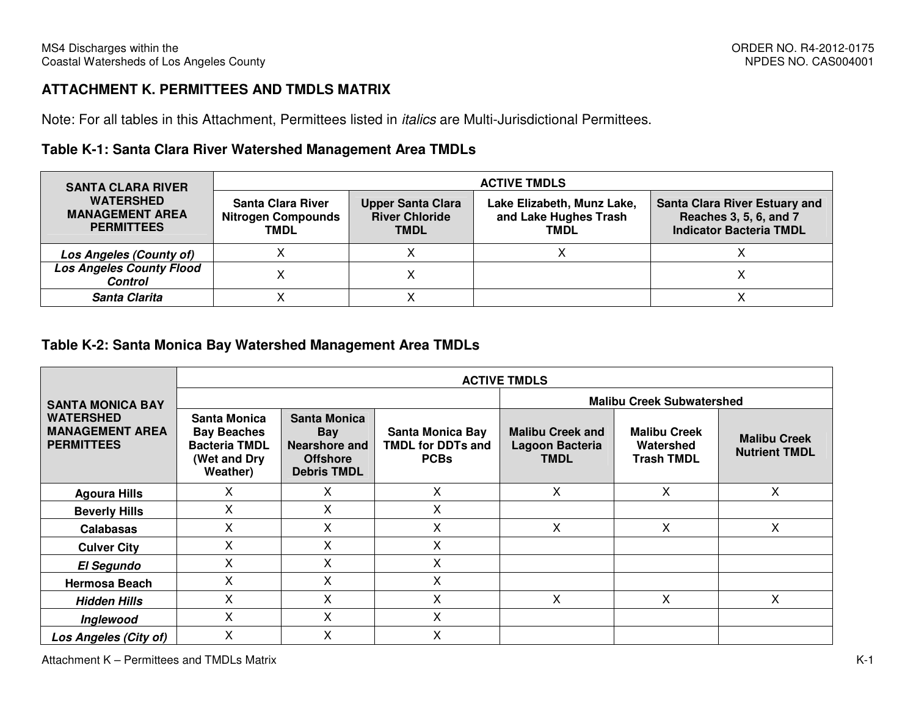## **ATTACHMENT K. PERMITTEES AND TMDLS MATRIX**

Note: For all tables in this Attachment, Permittees listed in italics are Multi-Jurisdictional Permittees.

## **Table K-1: Santa Clara River Watershed Management Area TMDLs**

| <b>SANTA CLARA RIVER</b>                                        | <b>ACTIVE TMDLS</b>                                           |                                                                  |                                                                    |                                                                                                  |  |  |  |  |
|-----------------------------------------------------------------|---------------------------------------------------------------|------------------------------------------------------------------|--------------------------------------------------------------------|--------------------------------------------------------------------------------------------------|--|--|--|--|
| <b>WATERSHED</b><br><b>MANAGEMENT AREA</b><br><b>PERMITTEES</b> | Santa Clara River<br><b>Nitrogen Compounds</b><br><b>TMDL</b> | <b>Upper Santa Clara</b><br><b>River Chloride</b><br><b>TMDL</b> | Lake Elizabeth, Munz Lake,<br>and Lake Hughes Trash<br><b>TMDL</b> | <b>Santa Clara River Estuary and</b><br>Reaches 3, 5, 6, and 7<br><b>Indicator Bacteria TMDL</b> |  |  |  |  |
| Los Angeles (County of)                                         |                                                               |                                                                  |                                                                    |                                                                                                  |  |  |  |  |
| <b>Los Angeles County Flood</b><br><b>Control</b>               |                                                               |                                                                  |                                                                    |                                                                                                  |  |  |  |  |
| Santa Clarita                                                   |                                                               |                                                                  |                                                                    |                                                                                                  |  |  |  |  |

#### **Table K-2: Santa Monica Bay Watershed Management Area TMDLs**

|                                                                 | <b>ACTIVE TMDLS</b>                                                                    |                                                                                      |                                                                    |                                                                  |                                                       |                                             |  |  |  |  |
|-----------------------------------------------------------------|----------------------------------------------------------------------------------------|--------------------------------------------------------------------------------------|--------------------------------------------------------------------|------------------------------------------------------------------|-------------------------------------------------------|---------------------------------------------|--|--|--|--|
| <b>SANTA MONICA BAY</b>                                         |                                                                                        |                                                                                      |                                                                    | <b>Malibu Creek Subwatershed</b>                                 |                                                       |                                             |  |  |  |  |
| <b>WATERSHED</b><br><b>MANAGEMENT AREA</b><br><b>PERMITTEES</b> | Santa Monica<br><b>Bay Beaches</b><br><b>Bacteria TMDL</b><br>(Wet and Dry<br>Weather) | <b>Santa Monica</b><br>Bay<br>Nearshore and<br><b>Offshore</b><br><b>Debris TMDL</b> | <b>Santa Monica Bay</b><br><b>TMDL for DDTs and</b><br><b>PCBs</b> | <b>Malibu Creek and</b><br><b>Lagoon Bacteria</b><br><b>TMDL</b> | <b>Malibu Creek</b><br>Watershed<br><b>Trash TMDL</b> | <b>Malibu Creek</b><br><b>Nutrient TMDL</b> |  |  |  |  |
| <b>Agoura Hills</b>                                             | X                                                                                      | X                                                                                    | X                                                                  | X                                                                | $\mathsf{X}$                                          | Χ                                           |  |  |  |  |
| <b>Beverly Hills</b>                                            | X                                                                                      | X                                                                                    | Χ                                                                  |                                                                  |                                                       |                                             |  |  |  |  |
| <b>Calabasas</b>                                                | x                                                                                      | Χ                                                                                    | x                                                                  | х                                                                | X                                                     | X                                           |  |  |  |  |
| <b>Culver City</b>                                              | X                                                                                      | X                                                                                    | X                                                                  |                                                                  |                                                       |                                             |  |  |  |  |
| <b>El Segundo</b>                                               | X                                                                                      | X                                                                                    | X                                                                  |                                                                  |                                                       |                                             |  |  |  |  |
| <b>Hermosa Beach</b>                                            | X                                                                                      | X                                                                                    | X                                                                  |                                                                  |                                                       |                                             |  |  |  |  |
| <b>Hidden Hills</b>                                             | X.                                                                                     | X                                                                                    | X                                                                  | X                                                                | X.                                                    | X.                                          |  |  |  |  |
| Inglewood                                                       | X                                                                                      | X                                                                                    | Χ                                                                  |                                                                  |                                                       |                                             |  |  |  |  |
| Los Angeles (City of)                                           | X                                                                                      | X                                                                                    | x                                                                  |                                                                  |                                                       |                                             |  |  |  |  |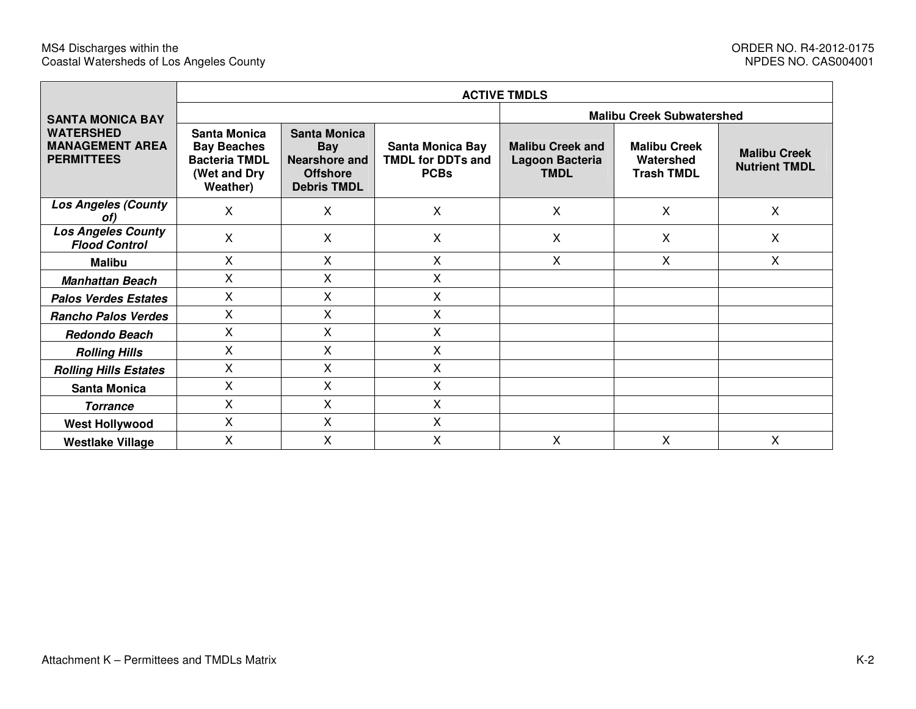|                                                                 | <b>ACTIVE TMDLS</b>                                                                    |                                                                                             |                                                                    |                                                           |                                                       |                                             |  |  |  |  |
|-----------------------------------------------------------------|----------------------------------------------------------------------------------------|---------------------------------------------------------------------------------------------|--------------------------------------------------------------------|-----------------------------------------------------------|-------------------------------------------------------|---------------------------------------------|--|--|--|--|
| <b>SANTA MONICA BAY</b>                                         |                                                                                        |                                                                                             |                                                                    | <b>Malibu Creek Subwatershed</b>                          |                                                       |                                             |  |  |  |  |
| <b>WATERSHED</b><br><b>MANAGEMENT AREA</b><br><b>PERMITTEES</b> | Santa Monica<br><b>Bay Beaches</b><br><b>Bacteria TMDL</b><br>(Wet and Dry<br>Weather) | <b>Santa Monica</b><br><b>Bay</b><br>Nearshore and<br><b>Offshore</b><br><b>Debris TMDL</b> | <b>Santa Monica Bay</b><br><b>TMDL for DDTs and</b><br><b>PCBs</b> | <b>Malibu Creek and</b><br>Lagoon Bacteria<br><b>TMDL</b> | <b>Malibu Creek</b><br>Watershed<br><b>Trash TMDL</b> | <b>Malibu Creek</b><br><b>Nutrient TMDL</b> |  |  |  |  |
| <b>Los Angeles (County</b><br>of)                               | X                                                                                      | X                                                                                           | X                                                                  | $\mathsf{X}$                                              | $\mathsf{X}$                                          | X                                           |  |  |  |  |
| <b>Los Angeles County</b><br><b>Flood Control</b>               | X                                                                                      | X                                                                                           | X                                                                  | X                                                         | X                                                     | X                                           |  |  |  |  |
| <b>Malibu</b>                                                   | $\mathsf{X}$                                                                           | $\mathsf{X}$                                                                                | X                                                                  | X                                                         | $\mathsf{X}$                                          | X                                           |  |  |  |  |
| <b>Manhattan Beach</b>                                          | X                                                                                      | X                                                                                           | Χ                                                                  |                                                           |                                                       |                                             |  |  |  |  |
| <b>Palos Verdes Estates</b>                                     | X                                                                                      | X                                                                                           | Χ                                                                  |                                                           |                                                       |                                             |  |  |  |  |
| <b>Rancho Palos Verdes</b>                                      | X                                                                                      | X                                                                                           | X                                                                  |                                                           |                                                       |                                             |  |  |  |  |
| Redondo Beach                                                   | X                                                                                      | X                                                                                           | Χ                                                                  |                                                           |                                                       |                                             |  |  |  |  |
| <b>Rolling Hills</b>                                            | X                                                                                      | X                                                                                           | X                                                                  |                                                           |                                                       |                                             |  |  |  |  |
| <b>Rolling Hills Estates</b>                                    | X                                                                                      | X                                                                                           | Χ                                                                  |                                                           |                                                       |                                             |  |  |  |  |
| <b>Santa Monica</b>                                             | X                                                                                      | X                                                                                           | X                                                                  |                                                           |                                                       |                                             |  |  |  |  |
| <b>Torrance</b>                                                 | X                                                                                      | X                                                                                           | X                                                                  |                                                           |                                                       |                                             |  |  |  |  |
| <b>West Hollywood</b>                                           | X                                                                                      | X                                                                                           | X                                                                  |                                                           |                                                       |                                             |  |  |  |  |
| <b>Westlake Village</b>                                         | X                                                                                      | X                                                                                           | X                                                                  | X                                                         | X                                                     | X                                           |  |  |  |  |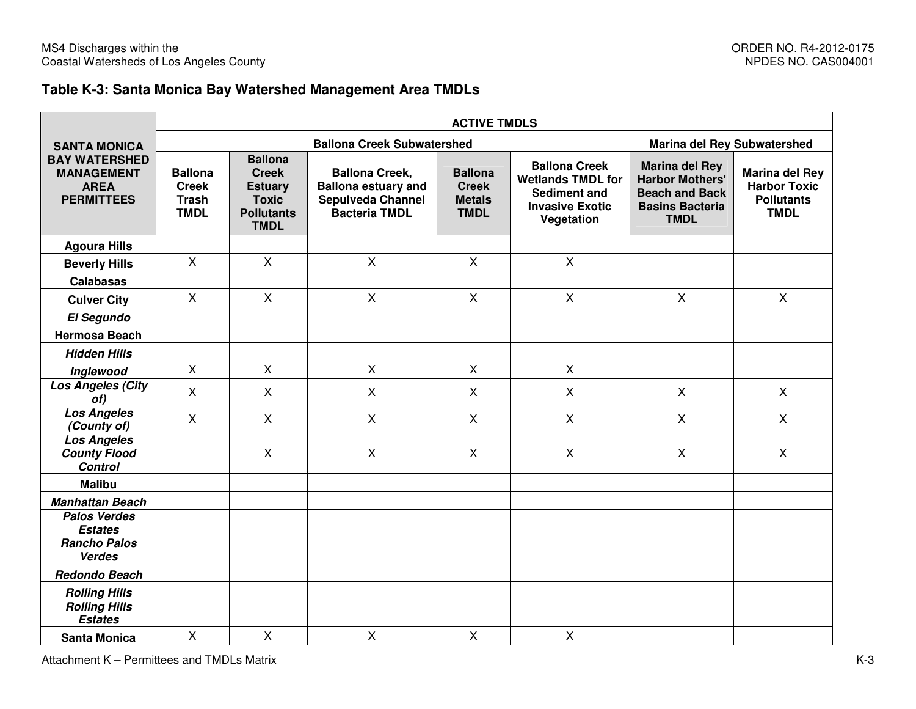## **Table K-3: Santa Monica Bay Watershed Management Area TMDLs**

|                                                                               | <b>ACTIVE TMDLS</b>                                           |                                                                                                      |                                                                                                         |                                                                |                                                                                                          |                                                                                                                   |                                                                                  |  |  |  |
|-------------------------------------------------------------------------------|---------------------------------------------------------------|------------------------------------------------------------------------------------------------------|---------------------------------------------------------------------------------------------------------|----------------------------------------------------------------|----------------------------------------------------------------------------------------------------------|-------------------------------------------------------------------------------------------------------------------|----------------------------------------------------------------------------------|--|--|--|
| <b>SANTA MONICA</b>                                                           |                                                               |                                                                                                      | <b>Ballona Creek Subwatershed</b>                                                                       |                                                                |                                                                                                          | <b>Marina del Rey Subwatershed</b>                                                                                |                                                                                  |  |  |  |
| <b>BAY WATERSHED</b><br><b>MANAGEMENT</b><br><b>AREA</b><br><b>PERMITTEES</b> | <b>Ballona</b><br><b>Creek</b><br><b>Trash</b><br><b>TMDL</b> | <b>Ballona</b><br><b>Creek</b><br><b>Estuary</b><br><b>Toxic</b><br><b>Pollutants</b><br><b>TMDL</b> | <b>Ballona Creek,</b><br><b>Ballona estuary and</b><br><b>Sepulveda Channel</b><br><b>Bacteria TMDL</b> | <b>Ballona</b><br><b>Creek</b><br><b>Metals</b><br><b>TMDL</b> | <b>Ballona Creek</b><br><b>Wetlands TMDL for</b><br>Sediment and<br><b>Invasive Exotic</b><br>Vegetation | <b>Marina del Rey</b><br><b>Harbor Mothers'</b><br><b>Beach and Back</b><br><b>Basins Bacteria</b><br><b>TMDL</b> | <b>Marina del Rey</b><br><b>Harbor Toxic</b><br><b>Pollutants</b><br><b>TMDL</b> |  |  |  |
| <b>Agoura Hills</b>                                                           |                                                               |                                                                                                      |                                                                                                         |                                                                |                                                                                                          |                                                                                                                   |                                                                                  |  |  |  |
| <b>Beverly Hills</b>                                                          | $\mathsf{X}$                                                  | $\mathsf{X}$                                                                                         | $\mathsf{X}$                                                                                            | $\mathsf{X}$                                                   | $\mathsf{X}$                                                                                             |                                                                                                                   |                                                                                  |  |  |  |
| <b>Calabasas</b>                                                              |                                                               |                                                                                                      |                                                                                                         |                                                                |                                                                                                          |                                                                                                                   |                                                                                  |  |  |  |
| <b>Culver City</b>                                                            | $\mathsf{X}$                                                  | X                                                                                                    | X                                                                                                       | X                                                              | X                                                                                                        | X                                                                                                                 | X                                                                                |  |  |  |
| <b>El Segundo</b>                                                             |                                                               |                                                                                                      |                                                                                                         |                                                                |                                                                                                          |                                                                                                                   |                                                                                  |  |  |  |
| <b>Hermosa Beach</b>                                                          |                                                               |                                                                                                      |                                                                                                         |                                                                |                                                                                                          |                                                                                                                   |                                                                                  |  |  |  |
| <b>Hidden Hills</b>                                                           |                                                               |                                                                                                      |                                                                                                         |                                                                |                                                                                                          |                                                                                                                   |                                                                                  |  |  |  |
| Inglewood                                                                     | $\mathsf{X}$                                                  | X                                                                                                    | $\mathsf{X}$                                                                                            | $\mathsf{X}$                                                   | $\mathsf{X}$                                                                                             |                                                                                                                   |                                                                                  |  |  |  |
| Los Angeles (City<br>of)                                                      | $\sf X$                                                       | X                                                                                                    | $\mathsf{X}$                                                                                            | X                                                              | X                                                                                                        | $\mathsf{X}$                                                                                                      | X                                                                                |  |  |  |
| <b>Los Angeles</b><br>(County of)                                             | $\boldsymbol{\mathsf{X}}$                                     | X                                                                                                    | $\mathsf X$                                                                                             | X                                                              | $\mathsf{X}$                                                                                             | $\mathsf{X}$                                                                                                      | X                                                                                |  |  |  |
| <b>Los Angeles</b><br><b>County Flood</b><br><b>Control</b>                   |                                                               | X                                                                                                    | $\boldsymbol{\mathsf{X}}$                                                                               | X                                                              | $\pmb{\times}$                                                                                           | $\boldsymbol{\mathsf{X}}$                                                                                         | X                                                                                |  |  |  |
| <b>Malibu</b>                                                                 |                                                               |                                                                                                      |                                                                                                         |                                                                |                                                                                                          |                                                                                                                   |                                                                                  |  |  |  |
| <b>Manhattan Beach</b>                                                        |                                                               |                                                                                                      |                                                                                                         |                                                                |                                                                                                          |                                                                                                                   |                                                                                  |  |  |  |
| <b>Palos Verdes</b><br><b>Estates</b>                                         |                                                               |                                                                                                      |                                                                                                         |                                                                |                                                                                                          |                                                                                                                   |                                                                                  |  |  |  |
| <b>Rancho Palos</b><br><b>Verdes</b>                                          |                                                               |                                                                                                      |                                                                                                         |                                                                |                                                                                                          |                                                                                                                   |                                                                                  |  |  |  |
| <b>Redondo Beach</b>                                                          |                                                               |                                                                                                      |                                                                                                         |                                                                |                                                                                                          |                                                                                                                   |                                                                                  |  |  |  |
| <b>Rolling Hills</b>                                                          |                                                               |                                                                                                      |                                                                                                         |                                                                |                                                                                                          |                                                                                                                   |                                                                                  |  |  |  |
| <b>Rolling Hills</b><br><b>Estates</b>                                        |                                                               |                                                                                                      |                                                                                                         |                                                                |                                                                                                          |                                                                                                                   |                                                                                  |  |  |  |
| <b>Santa Monica</b>                                                           | $\mathsf{X}$                                                  | $\mathsf{X}$                                                                                         | $\boldsymbol{\mathsf{X}}$                                                                               | $\mathsf{X}$                                                   | $\mathsf{X}$                                                                                             |                                                                                                                   |                                                                                  |  |  |  |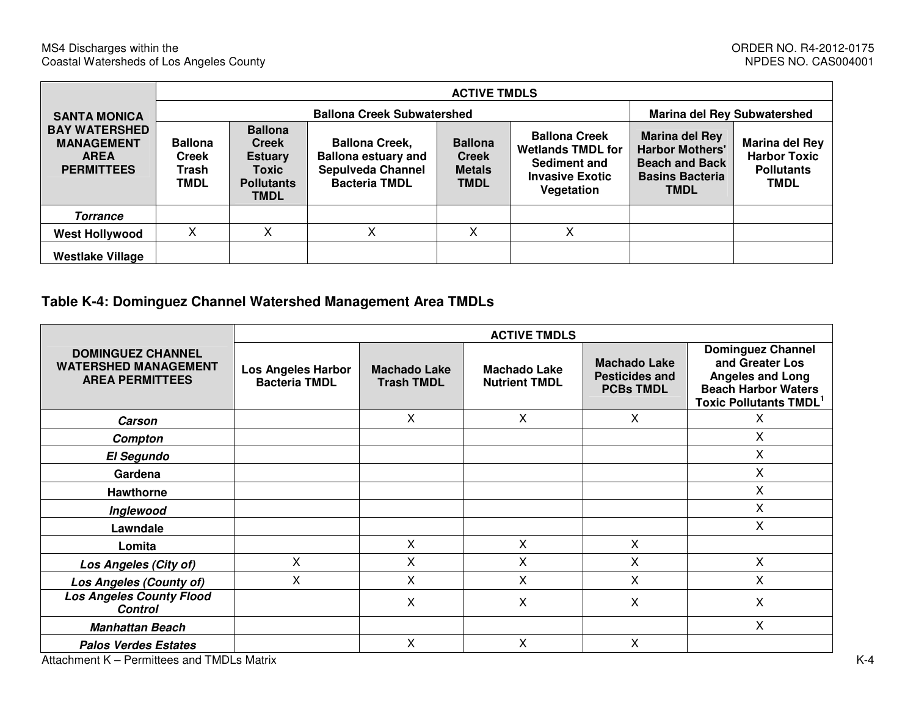|                                                                               | <b>ACTIVE TMDLS</b>                                    |                                                                                               |                                                                                                         |                                                                |                                                                                                                 |                                                                                                                   |                                                                           |  |  |
|-------------------------------------------------------------------------------|--------------------------------------------------------|-----------------------------------------------------------------------------------------------|---------------------------------------------------------------------------------------------------------|----------------------------------------------------------------|-----------------------------------------------------------------------------------------------------------------|-------------------------------------------------------------------------------------------------------------------|---------------------------------------------------------------------------|--|--|
| <b>SANTA MONICA</b>                                                           |                                                        | <b>Ballona Creek Subwatershed</b><br><b>Marina del Rey Subwatershed</b>                       |                                                                                                         |                                                                |                                                                                                                 |                                                                                                                   |                                                                           |  |  |
| <b>BAY WATERSHED</b><br><b>MANAGEMENT</b><br><b>AREA</b><br><b>PERMITTEES</b> | <b>Ballona</b><br><b>Creek</b><br>Trash<br><b>TMDL</b> | <b>Ballona</b><br><b>Creek</b><br><b>Estuary</b><br>Toxic<br><b>Pollutants</b><br><b>TMDL</b> | <b>Ballona Creek,</b><br><b>Ballona estuary and</b><br><b>Sepulveda Channel</b><br><b>Bacteria TMDL</b> | <b>Ballona</b><br><b>Creek</b><br><b>Metals</b><br><b>TMDL</b> | <b>Ballona Creek</b><br><b>Wetlands TMDL for</b><br><b>Sediment and</b><br><b>Invasive Exotic</b><br>Vegetation | <b>Marina del Rey</b><br><b>Harbor Mothers'</b><br><b>Beach and Back</b><br><b>Basins Bacteria</b><br><b>TMDL</b> | Marina del Rey<br><b>Harbor Toxic</b><br><b>Pollutants</b><br><b>TMDL</b> |  |  |
| <b>Torrance</b>                                                               |                                                        |                                                                                               |                                                                                                         |                                                                |                                                                                                                 |                                                                                                                   |                                                                           |  |  |
| <b>West Hollywood</b>                                                         | X                                                      | X                                                                                             | X                                                                                                       | X                                                              | x                                                                                                               |                                                                                                                   |                                                                           |  |  |
| <b>Westlake Village</b>                                                       |                                                        |                                                                                               |                                                                                                         |                                                                |                                                                                                                 |                                                                                                                   |                                                                           |  |  |

# **Table K-4: Dominguez Channel Watershed Management Area TMDLs**

|                                                                                   | <b>ACTIVE TMDLS</b>                               |                                          |                                             |                                                                  |                                                                                                                                       |  |  |  |
|-----------------------------------------------------------------------------------|---------------------------------------------------|------------------------------------------|---------------------------------------------|------------------------------------------------------------------|---------------------------------------------------------------------------------------------------------------------------------------|--|--|--|
| <b>DOMINGUEZ CHANNEL</b><br><b>WATERSHED MANAGEMENT</b><br><b>AREA PERMITTEES</b> | <b>Los Angeles Harbor</b><br><b>Bacteria TMDL</b> | <b>Machado Lake</b><br><b>Trash TMDL</b> | <b>Machado Lake</b><br><b>Nutrient TMDL</b> | <b>Machado Lake</b><br><b>Pesticides and</b><br><b>PCBs TMDL</b> | <b>Dominguez Channel</b><br>and Greater Los<br><b>Angeles and Long</b><br><b>Beach Harbor Waters</b><br><b>Toxic Pollutants TMDL1</b> |  |  |  |
| <b>Carson</b>                                                                     |                                                   | X                                        | X                                           | X.                                                               | X                                                                                                                                     |  |  |  |
| Compton                                                                           |                                                   |                                          |                                             |                                                                  | X                                                                                                                                     |  |  |  |
| <b>El Segundo</b>                                                                 |                                                   |                                          |                                             |                                                                  | X                                                                                                                                     |  |  |  |
| Gardena                                                                           |                                                   |                                          |                                             |                                                                  | X                                                                                                                                     |  |  |  |
| Hawthorne                                                                         |                                                   |                                          |                                             |                                                                  | X                                                                                                                                     |  |  |  |
| Inglewood                                                                         |                                                   |                                          |                                             |                                                                  | X                                                                                                                                     |  |  |  |
| Lawndale                                                                          |                                                   |                                          |                                             |                                                                  | X                                                                                                                                     |  |  |  |
| Lomita                                                                            |                                                   | X                                        | X                                           | X                                                                |                                                                                                                                       |  |  |  |
| Los Angeles (City of)                                                             | X                                                 | Χ                                        | Χ                                           | X                                                                | X                                                                                                                                     |  |  |  |
| <b>Los Angeles (County of)</b>                                                    | Χ                                                 | Χ                                        | Χ                                           | X                                                                | X                                                                                                                                     |  |  |  |
| <b>Los Angeles County Flood</b><br><b>Control</b>                                 |                                                   | X                                        | Χ                                           | X                                                                | X                                                                                                                                     |  |  |  |
| <b>Manhattan Beach</b>                                                            |                                                   |                                          |                                             |                                                                  | X                                                                                                                                     |  |  |  |
| <b>Palos Verdes Estates</b>                                                       |                                                   | X                                        | X                                           | X.                                                               |                                                                                                                                       |  |  |  |
| Attachment K - Permittees and TMDLs Matrix                                        |                                                   |                                          |                                             |                                                                  |                                                                                                                                       |  |  |  |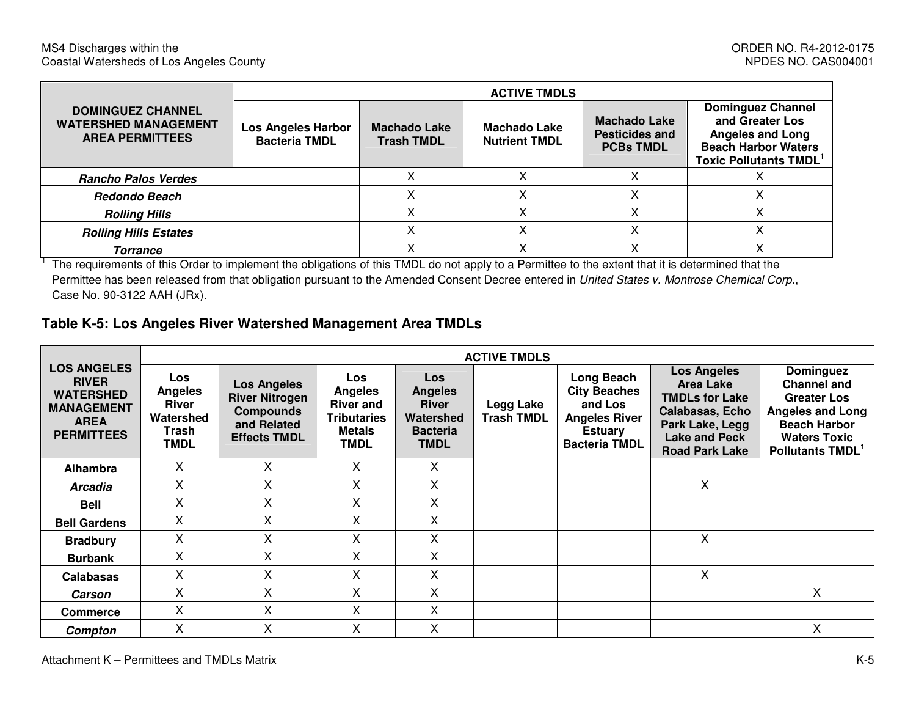|                                                                                   | <b>ACTIVE TMDLS</b>                               |                                          |                                             |                                                                  |                                                                                                                                      |  |  |  |  |
|-----------------------------------------------------------------------------------|---------------------------------------------------|------------------------------------------|---------------------------------------------|------------------------------------------------------------------|--------------------------------------------------------------------------------------------------------------------------------------|--|--|--|--|
| <b>DOMINGUEZ CHANNEL</b><br><b>WATERSHED MANAGEMENT</b><br><b>AREA PERMITTEES</b> | <b>Los Angeles Harbor</b><br><b>Bacteria TMDL</b> | <b>Machado Lake</b><br><b>Trash TMDL</b> | <b>Machado Lake</b><br><b>Nutrient TMDL</b> | <b>Machado Lake</b><br><b>Pesticides and</b><br><b>PCBs TMDL</b> | <b>Dominguez Channel</b><br>and Greater Los<br><b>Angeles and Long</b><br><b>Beach Harbor Waters</b><br><b>Toxic Pollutants TMDL</b> |  |  |  |  |
| <b>Rancho Palos Verdes</b>                                                        |                                                   |                                          |                                             |                                                                  |                                                                                                                                      |  |  |  |  |
| <b>Redondo Beach</b>                                                              |                                                   |                                          |                                             |                                                                  |                                                                                                                                      |  |  |  |  |
| <b>Rolling Hills</b>                                                              |                                                   |                                          |                                             | ⋏                                                                |                                                                                                                                      |  |  |  |  |
| <b>Rolling Hills Estates</b>                                                      |                                                   |                                          |                                             | ∧                                                                |                                                                                                                                      |  |  |  |  |
| <b>Torrance</b>                                                                   |                                                   |                                          |                                             | ∧                                                                |                                                                                                                                      |  |  |  |  |

<sup>1</sup> The requirements of this Order to implement the obligations of this TMDL do not apply to a Permittee to the extent that it is determined that the Permittee has been released from that obligation pursuant to the Amended Consent Decree entered in United States v. Montrose Chemical Corp., Case No. 90-3122 AAH (JRx).

### **Table K-5: Los Angeles River Watershed Management Area TMDLs**

|                                                                                                                 |                                                                            | <b>ACTIVE TMDLS</b>                                                                                   |                                                                                                 |                                                                                             |                                |                                                                                                                |                                                                                                                                                        |                                                                                                                                                                       |  |
|-----------------------------------------------------------------------------------------------------------------|----------------------------------------------------------------------------|-------------------------------------------------------------------------------------------------------|-------------------------------------------------------------------------------------------------|---------------------------------------------------------------------------------------------|--------------------------------|----------------------------------------------------------------------------------------------------------------|--------------------------------------------------------------------------------------------------------------------------------------------------------|-----------------------------------------------------------------------------------------------------------------------------------------------------------------------|--|
| <b>LOS ANGELES</b><br><b>RIVER</b><br><b>WATERSHED</b><br><b>MANAGEMENT</b><br><b>AREA</b><br><b>PERMITTEES</b> | Los<br><b>Angeles</b><br><b>River</b><br>Watershed<br>Trash<br><b>TMDL</b> | <b>Los Angeles</b><br><b>River Nitrogen</b><br><b>Compounds</b><br>and Related<br><b>Effects TMDL</b> | Los<br><b>Angeles</b><br><b>River and</b><br><b>Tributaries</b><br><b>Metals</b><br><b>TMDL</b> | <b>Los</b><br><b>Angeles</b><br><b>River</b><br>Watershed<br><b>Bacteria</b><br><b>TMDL</b> | Legg Lake<br><b>Trash TMDL</b> | Long Beach<br><b>City Beaches</b><br>and Los<br><b>Angeles River</b><br><b>Estuary</b><br><b>Bacteria TMDL</b> | <b>Los Angeles</b><br><b>Area Lake</b><br><b>TMDLs for Lake</b><br>Calabasas, Echo<br>Park Lake, Legg<br><b>Lake and Peck</b><br><b>Road Park Lake</b> | <b>Dominguez</b><br><b>Channel and</b><br><b>Greater Los</b><br><b>Angeles and Long</b><br><b>Beach Harbor</b><br><b>Waters Toxic</b><br>Pollutants TMDL <sup>1</sup> |  |
| <b>Alhambra</b>                                                                                                 | X                                                                          | Χ                                                                                                     | X                                                                                               | X                                                                                           |                                |                                                                                                                |                                                                                                                                                        |                                                                                                                                                                       |  |
| <b>Arcadia</b>                                                                                                  | X                                                                          | X                                                                                                     | X                                                                                               | X                                                                                           |                                |                                                                                                                | X                                                                                                                                                      |                                                                                                                                                                       |  |
| Bell                                                                                                            | X                                                                          | X                                                                                                     | X                                                                                               | X                                                                                           |                                |                                                                                                                |                                                                                                                                                        |                                                                                                                                                                       |  |
| <b>Bell Gardens</b>                                                                                             | X                                                                          | X                                                                                                     | X                                                                                               | X                                                                                           |                                |                                                                                                                |                                                                                                                                                        |                                                                                                                                                                       |  |
| <b>Bradbury</b>                                                                                                 | X                                                                          | Χ                                                                                                     | X                                                                                               | X                                                                                           |                                |                                                                                                                | X                                                                                                                                                      |                                                                                                                                                                       |  |
| <b>Burbank</b>                                                                                                  | X                                                                          | X                                                                                                     | X                                                                                               | X                                                                                           |                                |                                                                                                                |                                                                                                                                                        |                                                                                                                                                                       |  |
| <b>Calabasas</b>                                                                                                | X                                                                          | Χ                                                                                                     | X                                                                                               | X                                                                                           |                                |                                                                                                                | X                                                                                                                                                      |                                                                                                                                                                       |  |
| Carson                                                                                                          | X                                                                          | X                                                                                                     | X                                                                                               | X                                                                                           |                                |                                                                                                                |                                                                                                                                                        | X                                                                                                                                                                     |  |
| <b>Commerce</b>                                                                                                 | X                                                                          | X                                                                                                     | X                                                                                               | X                                                                                           |                                |                                                                                                                |                                                                                                                                                        |                                                                                                                                                                       |  |
| Compton                                                                                                         | X                                                                          | Χ                                                                                                     | X                                                                                               | X                                                                                           |                                |                                                                                                                |                                                                                                                                                        | X                                                                                                                                                                     |  |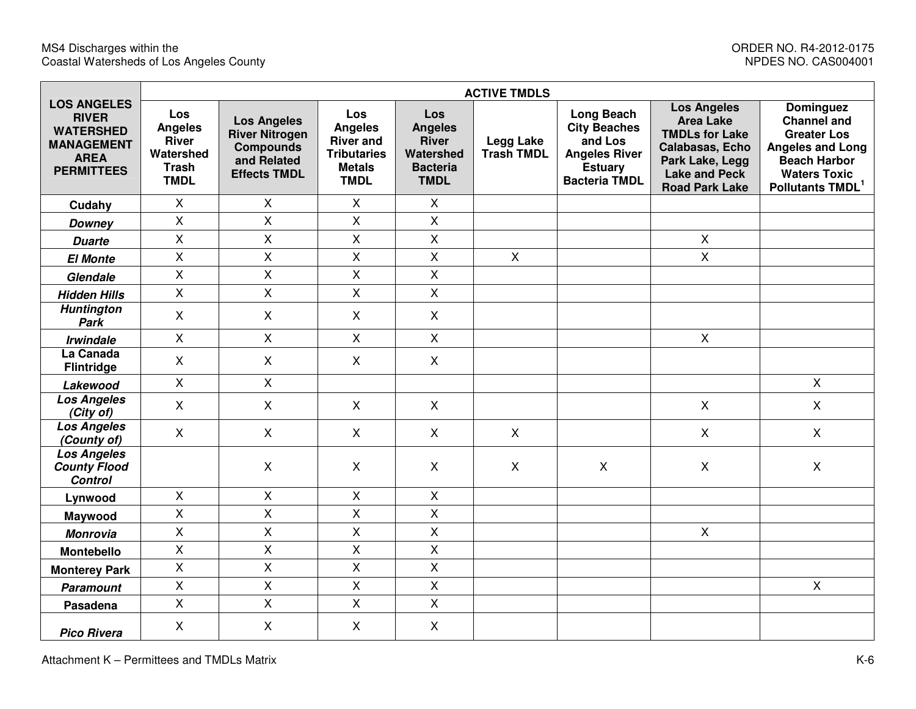|                                                                                                                 |                                                                                   |                                                                                                       |                                                                                                        |                                                                                             | <b>ACTIVE TMDLS</b>                   |                                                                                                                       |                                                                                                                                                        |                                                                                                                                                                       |
|-----------------------------------------------------------------------------------------------------------------|-----------------------------------------------------------------------------------|-------------------------------------------------------------------------------------------------------|--------------------------------------------------------------------------------------------------------|---------------------------------------------------------------------------------------------|---------------------------------------|-----------------------------------------------------------------------------------------------------------------------|--------------------------------------------------------------------------------------------------------------------------------------------------------|-----------------------------------------------------------------------------------------------------------------------------------------------------------------------|
| <b>LOS ANGELES</b><br><b>RIVER</b><br><b>WATERSHED</b><br><b>MANAGEMENT</b><br><b>AREA</b><br><b>PERMITTEES</b> | Los<br><b>Angeles</b><br><b>River</b><br>Watershed<br><b>Trash</b><br><b>TMDL</b> | <b>Los Angeles</b><br><b>River Nitrogen</b><br><b>Compounds</b><br>and Related<br><b>Effects TMDL</b> | <b>Los</b><br><b>Angeles</b><br><b>River and</b><br><b>Tributaries</b><br><b>Metals</b><br><b>TMDL</b> | <b>Los</b><br><b>Angeles</b><br><b>River</b><br>Watershed<br><b>Bacteria</b><br><b>TMDL</b> | <b>Legg Lake</b><br><b>Trash TMDL</b> | <b>Long Beach</b><br><b>City Beaches</b><br>and Los<br><b>Angeles River</b><br><b>Estuary</b><br><b>Bacteria TMDL</b> | <b>Los Angeles</b><br><b>Area Lake</b><br><b>TMDLs for Lake</b><br>Calabasas, Echo<br>Park Lake, Legg<br><b>Lake and Peck</b><br><b>Road Park Lake</b> | <b>Dominguez</b><br><b>Channel and</b><br><b>Greater Los</b><br><b>Angeles and Long</b><br><b>Beach Harbor</b><br><b>Waters Toxic</b><br>Pollutants TMDL <sup>1</sup> |
| Cudahy                                                                                                          | $\mathsf{X}$                                                                      | $\mathsf{X}$                                                                                          | $\mathsf{X}$                                                                                           | $\mathsf{X}$                                                                                |                                       |                                                                                                                       |                                                                                                                                                        |                                                                                                                                                                       |
| <b>Downey</b>                                                                                                   | $\pmb{\times}$                                                                    | $\mathsf{X}$                                                                                          | X                                                                                                      | $\mathsf{X}$                                                                                |                                       |                                                                                                                       |                                                                                                                                                        |                                                                                                                                                                       |
| <b>Duarte</b>                                                                                                   | $\mathsf{X}$                                                                      | $\mathsf{X}$                                                                                          | X                                                                                                      | $\overline{X}$                                                                              |                                       |                                                                                                                       | $\mathsf{X}$                                                                                                                                           |                                                                                                                                                                       |
| <b>El Monte</b>                                                                                                 | $\pmb{\times}$                                                                    | $\pmb{\times}$                                                                                        | $\overline{X}$                                                                                         | X                                                                                           | $\mathsf{X}$                          |                                                                                                                       | $\mathsf{X}$                                                                                                                                           |                                                                                                                                                                       |
| Glendale                                                                                                        | $\pmb{\times}$                                                                    | $\mathsf{X}$                                                                                          | X                                                                                                      | X.                                                                                          |                                       |                                                                                                                       |                                                                                                                                                        |                                                                                                                                                                       |
| <b>Hidden Hills</b>                                                                                             | $\mathsf{X}$                                                                      | $\pmb{\times}$                                                                                        | $\overline{X}$                                                                                         | $\overline{X}$                                                                              |                                       |                                                                                                                       |                                                                                                                                                        |                                                                                                                                                                       |
| <b>Huntington</b><br>Park                                                                                       | X                                                                                 | $\mathsf{X}$                                                                                          | X                                                                                                      | $\mathsf{X}$                                                                                |                                       |                                                                                                                       |                                                                                                                                                        |                                                                                                                                                                       |
| <b>Irwindale</b>                                                                                                | $\pmb{\times}$                                                                    | $\pmb{\times}$                                                                                        | X                                                                                                      | $\mathsf{X}$                                                                                |                                       |                                                                                                                       | $\pmb{\times}$                                                                                                                                         |                                                                                                                                                                       |
| La Canada<br><b>Flintridge</b>                                                                                  | $\boldsymbol{\mathsf{X}}$                                                         | $\mathsf{X}$                                                                                          | $\mathsf{X}$                                                                                           | $\mathsf{X}$                                                                                |                                       |                                                                                                                       |                                                                                                                                                        |                                                                                                                                                                       |
| Lakewood                                                                                                        | $\mathsf{X}$                                                                      | $\mathsf{X}$                                                                                          |                                                                                                        |                                                                                             |                                       |                                                                                                                       |                                                                                                                                                        | $\mathsf{X}$                                                                                                                                                          |
| <b>Los Angeles</b><br>(City of)                                                                                 | $\boldsymbol{\mathsf{X}}$                                                         | $\pmb{\times}$                                                                                        | $\mathsf{X}$                                                                                           | $\mathsf{X}$                                                                                |                                       |                                                                                                                       | $\mathsf{X}$                                                                                                                                           | $\mathsf{X}$                                                                                                                                                          |
| <b>Los Angeles</b><br>(County of)                                                                               | $\pmb{\times}$                                                                    | $\pmb{\times}$                                                                                        | $\mathsf{X}$                                                                                           | $\mathsf{X}$                                                                                | X                                     |                                                                                                                       | $\pmb{\times}$                                                                                                                                         | $\mathsf{X}$                                                                                                                                                          |
| Los Angeles<br><b>County Flood</b><br><b>Control</b>                                                            |                                                                                   | $\mathsf{X}$                                                                                          | X                                                                                                      | $\mathsf{X}$                                                                                | X                                     | $\boldsymbol{\mathsf{X}}$                                                                                             | $\pmb{\times}$                                                                                                                                         | $\mathsf{X}$                                                                                                                                                          |
| Lynwood                                                                                                         | $\mathsf{X}$                                                                      | $\mathsf{X}$                                                                                          | X                                                                                                      | $\mathsf{X}$                                                                                |                                       |                                                                                                                       |                                                                                                                                                        |                                                                                                                                                                       |
| Maywood                                                                                                         | $\mathsf X$                                                                       | $\pmb{\times}$                                                                                        | X                                                                                                      | X                                                                                           |                                       |                                                                                                                       |                                                                                                                                                        |                                                                                                                                                                       |
| <b>Monrovia</b>                                                                                                 | $\mathsf{X}$                                                                      | $\mathsf{X}$                                                                                          | $\mathsf{X}$                                                                                           | $\overline{X}$                                                                              |                                       |                                                                                                                       | $\mathsf{X}$                                                                                                                                           |                                                                                                                                                                       |
| <b>Montebello</b>                                                                                               | $\mathsf{X}$                                                                      | $\pmb{\times}$                                                                                        | $\overline{\mathsf{X}}$                                                                                | X                                                                                           |                                       |                                                                                                                       |                                                                                                                                                        |                                                                                                                                                                       |
| <b>Monterey Park</b>                                                                                            | X                                                                                 | $\pmb{\times}$                                                                                        | X                                                                                                      | X                                                                                           |                                       |                                                                                                                       |                                                                                                                                                        |                                                                                                                                                                       |
| <b>Paramount</b>                                                                                                | $\pmb{\times}$                                                                    | $\mathsf{X}$                                                                                          | X                                                                                                      | $\mathsf{X}$                                                                                |                                       |                                                                                                                       |                                                                                                                                                        | $\mathsf{X}$                                                                                                                                                          |
| Pasadena                                                                                                        | $\pmb{\times}$                                                                    | $\pmb{\times}$                                                                                        | $\mathsf{X}$                                                                                           | $\mathsf{X}$                                                                                |                                       |                                                                                                                       |                                                                                                                                                        |                                                                                                                                                                       |
| <b>Pico Rivera</b>                                                                                              | X                                                                                 | $\mathsf{X}$                                                                                          | X                                                                                                      | $\mathsf{X}$                                                                                |                                       |                                                                                                                       |                                                                                                                                                        |                                                                                                                                                                       |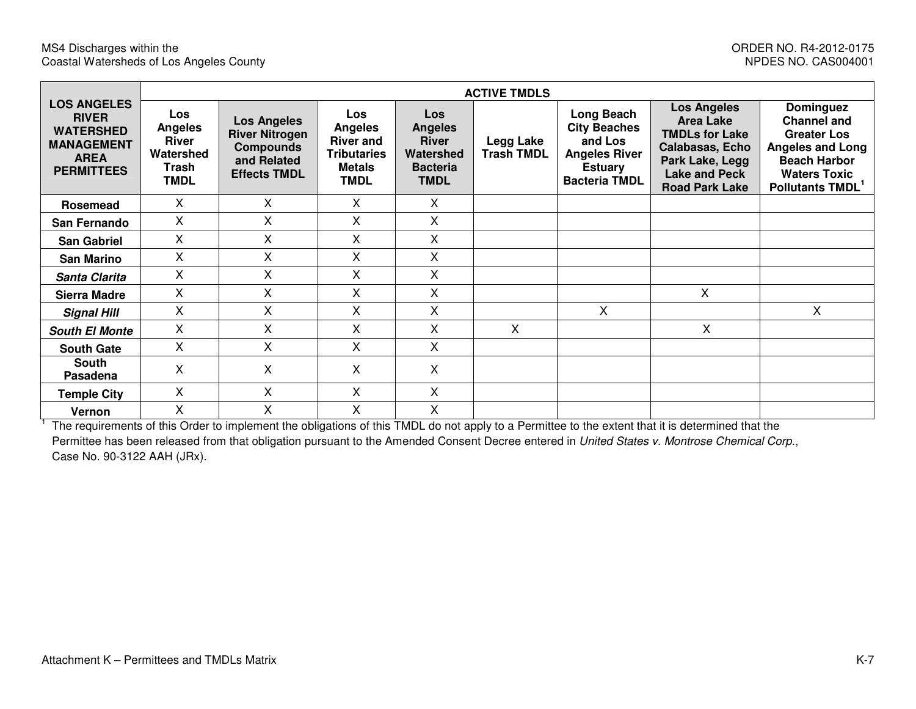|                                                                                                                 |                                                                                   | <b>ACTIVE TMDLS</b>                                                                                   |                                                                                                        |                                                                                      |                                |                                                                                                                |                                                                                                                                                 |                                                                                                                                                                |  |  |  |
|-----------------------------------------------------------------------------------------------------------------|-----------------------------------------------------------------------------------|-------------------------------------------------------------------------------------------------------|--------------------------------------------------------------------------------------------------------|--------------------------------------------------------------------------------------|--------------------------------|----------------------------------------------------------------------------------------------------------------|-------------------------------------------------------------------------------------------------------------------------------------------------|----------------------------------------------------------------------------------------------------------------------------------------------------------------|--|--|--|
| <b>LOS ANGELES</b><br><b>RIVER</b><br><b>WATERSHED</b><br><b>MANAGEMENT</b><br><b>AREA</b><br><b>PERMITTEES</b> | <b>Los</b><br><b>Angeles</b><br><b>River</b><br>Watershed<br>Trash<br><b>TMDL</b> | <b>Los Angeles</b><br><b>River Nitrogen</b><br><b>Compounds</b><br>and Related<br><b>Effects TMDL</b> | <b>Los</b><br><b>Angeles</b><br><b>River and</b><br><b>Tributaries</b><br><b>Metals</b><br><b>TMDL</b> | Los<br><b>Angeles</b><br><b>River</b><br>Watershed<br><b>Bacteria</b><br><b>TMDL</b> | Legg Lake<br><b>Trash TMDL</b> | Long Beach<br><b>City Beaches</b><br>and Los<br><b>Angeles River</b><br><b>Estuary</b><br><b>Bacteria TMDL</b> | <b>Los Angeles</b><br>Area Lake<br><b>TMDLs for Lake</b><br>Calabasas, Echo<br>Park Lake, Legg<br><b>Lake and Peck</b><br><b>Road Park Lake</b> | Dominguez<br><b>Channel and</b><br><b>Greater Los</b><br><b>Angeles and Long</b><br><b>Beach Harbor</b><br><b>Waters Toxic</b><br>Pollutants TMDL <sup>1</sup> |  |  |  |
| Rosemead                                                                                                        | X                                                                                 | $\mathsf{X}$                                                                                          | X                                                                                                      | X                                                                                    |                                |                                                                                                                |                                                                                                                                                 |                                                                                                                                                                |  |  |  |
| San Fernando                                                                                                    | X                                                                                 | X.                                                                                                    | X                                                                                                      | X                                                                                    |                                |                                                                                                                |                                                                                                                                                 |                                                                                                                                                                |  |  |  |
| <b>San Gabriel</b>                                                                                              | X                                                                                 | X                                                                                                     | X                                                                                                      | X                                                                                    |                                |                                                                                                                |                                                                                                                                                 |                                                                                                                                                                |  |  |  |
| <b>San Marino</b>                                                                                               | X                                                                                 | X                                                                                                     | X                                                                                                      | X                                                                                    |                                |                                                                                                                |                                                                                                                                                 |                                                                                                                                                                |  |  |  |
| Santa Clarita                                                                                                   | Χ                                                                                 | X                                                                                                     | X                                                                                                      | X                                                                                    |                                |                                                                                                                |                                                                                                                                                 |                                                                                                                                                                |  |  |  |
| Sierra Madre                                                                                                    | X.                                                                                | X                                                                                                     | X                                                                                                      | X                                                                                    |                                |                                                                                                                | X                                                                                                                                               |                                                                                                                                                                |  |  |  |
| <b>Signal Hill</b>                                                                                              | X                                                                                 | X                                                                                                     | X                                                                                                      | X                                                                                    |                                | X                                                                                                              |                                                                                                                                                 | $\mathsf{X}$                                                                                                                                                   |  |  |  |
| <b>South El Monte</b>                                                                                           | X                                                                                 | X.                                                                                                    | X                                                                                                      | X                                                                                    | X                              |                                                                                                                | $\mathsf{X}$                                                                                                                                    |                                                                                                                                                                |  |  |  |
| <b>South Gate</b>                                                                                               | X                                                                                 | X                                                                                                     | X                                                                                                      | X                                                                                    |                                |                                                                                                                |                                                                                                                                                 |                                                                                                                                                                |  |  |  |
| <b>South</b><br>Pasadena                                                                                        | X                                                                                 | X                                                                                                     | Χ                                                                                                      | Χ                                                                                    |                                |                                                                                                                |                                                                                                                                                 |                                                                                                                                                                |  |  |  |
| <b>Temple City</b>                                                                                              | Χ                                                                                 | X                                                                                                     | X                                                                                                      | X                                                                                    |                                |                                                                                                                |                                                                                                                                                 |                                                                                                                                                                |  |  |  |
| Vernon                                                                                                          | X                                                                                 | X                                                                                                     | X                                                                                                      | X                                                                                    |                                |                                                                                                                |                                                                                                                                                 |                                                                                                                                                                |  |  |  |

<sup>1</sup> The requirements of this Order to implement the obligations of this TMDL do not apply to a Permittee to the extent that it is determined that the Permittee has been released from that obligation pursuant to the Amended Consent Decree entered in United States v. Montrose Chemical Corp., Case No. 90-3122 AAH (JRx).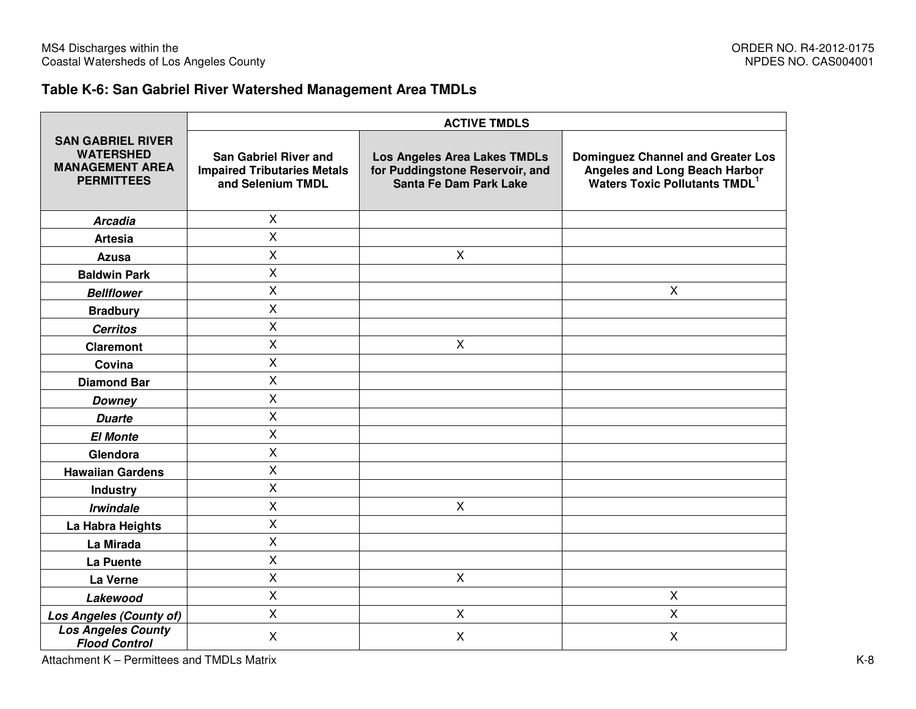### **Table K-6: San Gabriel River Watershed Management Area TMDLs**

|                                                                                             | <b>ACTIVE TMDLS</b>                                                                     |                                                                                                  |                                                                                                                               |  |  |  |  |  |  |
|---------------------------------------------------------------------------------------------|-----------------------------------------------------------------------------------------|--------------------------------------------------------------------------------------------------|-------------------------------------------------------------------------------------------------------------------------------|--|--|--|--|--|--|
| <b>SAN GABRIEL RIVER</b><br><b>WATERSHED</b><br><b>MANAGEMENT AREA</b><br><b>PERMITTEES</b> | <b>San Gabriel River and</b><br><b>Impaired Tributaries Metals</b><br>and Selenium TMDL | <b>Los Angeles Area Lakes TMDLs</b><br>for Puddingstone Reservoir, and<br>Santa Fe Dam Park Lake | <b>Dominguez Channel and Greater Los</b><br>Angeles and Long Beach Harbor<br><b>Waters Toxic Pollutants TMDL</b> <sup>1</sup> |  |  |  |  |  |  |
| <b>Arcadia</b>                                                                              | $\mathsf{X}$                                                                            |                                                                                                  |                                                                                                                               |  |  |  |  |  |  |
| <b>Artesia</b>                                                                              | $\mathsf{X}$                                                                            |                                                                                                  |                                                                                                                               |  |  |  |  |  |  |
| Azusa                                                                                       | $\mathsf{x}$                                                                            | $\mathsf{X}$                                                                                     |                                                                                                                               |  |  |  |  |  |  |
| <b>Baldwin Park</b>                                                                         | $\mathsf{X}$                                                                            |                                                                                                  |                                                                                                                               |  |  |  |  |  |  |
| <b>Bellflower</b>                                                                           | $\mathsf{X}$                                                                            |                                                                                                  | X                                                                                                                             |  |  |  |  |  |  |
| <b>Bradbury</b>                                                                             | $\mathsf{X}$                                                                            |                                                                                                  |                                                                                                                               |  |  |  |  |  |  |
| <b>Cerritos</b>                                                                             | $\boldsymbol{\mathsf{X}}$                                                               |                                                                                                  |                                                                                                                               |  |  |  |  |  |  |
| <b>Claremont</b>                                                                            | $\mathsf{X}$                                                                            | X                                                                                                |                                                                                                                               |  |  |  |  |  |  |
| Covina                                                                                      | $\mathsf{x}$                                                                            |                                                                                                  |                                                                                                                               |  |  |  |  |  |  |
| <b>Diamond Bar</b>                                                                          | $\mathsf{X}$                                                                            |                                                                                                  |                                                                                                                               |  |  |  |  |  |  |
| <b>Downey</b>                                                                               | $\mathsf{X}$                                                                            |                                                                                                  |                                                                                                                               |  |  |  |  |  |  |
| <b>Duarte</b>                                                                               | $\mathsf{X}$                                                                            |                                                                                                  |                                                                                                                               |  |  |  |  |  |  |
| <b>El Monte</b>                                                                             | $\mathsf{X}$                                                                            |                                                                                                  |                                                                                                                               |  |  |  |  |  |  |
| Glendora                                                                                    | $\overline{X}$                                                                          |                                                                                                  |                                                                                                                               |  |  |  |  |  |  |
| <b>Hawaiian Gardens</b>                                                                     | $\mathsf{X}$                                                                            |                                                                                                  |                                                                                                                               |  |  |  |  |  |  |
| <b>Industry</b>                                                                             | $\mathsf{X}$                                                                            |                                                                                                  |                                                                                                                               |  |  |  |  |  |  |
| <b>Irwindale</b>                                                                            | $\mathsf{X}$                                                                            | $\mathsf{X}$                                                                                     |                                                                                                                               |  |  |  |  |  |  |
| La Habra Heights                                                                            | $\mathsf{X}$                                                                            |                                                                                                  |                                                                                                                               |  |  |  |  |  |  |
| La Mirada                                                                                   | X                                                                                       |                                                                                                  |                                                                                                                               |  |  |  |  |  |  |
| La Puente                                                                                   | $\mathsf{X}$                                                                            |                                                                                                  |                                                                                                                               |  |  |  |  |  |  |
| La Verne                                                                                    | $\mathsf{X}$                                                                            | X                                                                                                |                                                                                                                               |  |  |  |  |  |  |
| Lakewood                                                                                    | $\mathsf{X}$                                                                            |                                                                                                  | $\pmb{\times}$                                                                                                                |  |  |  |  |  |  |
| Los Angeles (County of)                                                                     | $\mathsf{X}$                                                                            | X                                                                                                | $\mathsf{X}$                                                                                                                  |  |  |  |  |  |  |
| <b>Los Angeles County</b><br><b>Flood Control</b>                                           | $\pmb{\times}$                                                                          | Χ                                                                                                | X                                                                                                                             |  |  |  |  |  |  |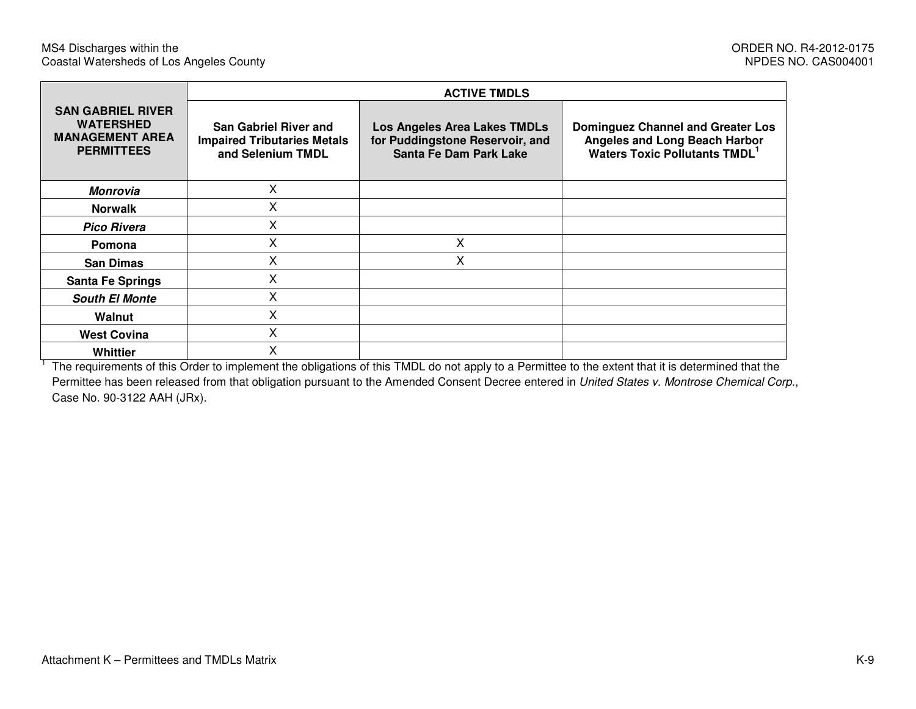|                                                                                             |                                                                                         | <b>ACTIVE TMDLS</b>                                                                                     |                                                                                                                        |  |  |  |
|---------------------------------------------------------------------------------------------|-----------------------------------------------------------------------------------------|---------------------------------------------------------------------------------------------------------|------------------------------------------------------------------------------------------------------------------------|--|--|--|
| <b>SAN GABRIEL RIVER</b><br><b>WATERSHED</b><br><b>MANAGEMENT AREA</b><br><b>PERMITTEES</b> | <b>San Gabriel River and</b><br><b>Impaired Tributaries Metals</b><br>and Selenium TMDL | <b>Los Angeles Area Lakes TMDLs</b><br>for Puddingstone Reservoir, and<br><b>Santa Fe Dam Park Lake</b> | <b>Dominguez Channel and Greater Los</b><br>Angeles and Long Beach Harbor<br>Waters Toxic Pollutants TMDL <sup>1</sup> |  |  |  |
| Monrovia                                                                                    | X                                                                                       |                                                                                                         |                                                                                                                        |  |  |  |
| <b>Norwalk</b>                                                                              | X                                                                                       |                                                                                                         |                                                                                                                        |  |  |  |
| <b>Pico Rivera</b>                                                                          | X                                                                                       |                                                                                                         |                                                                                                                        |  |  |  |
| Pomona                                                                                      | X                                                                                       | Χ                                                                                                       |                                                                                                                        |  |  |  |
| <b>San Dimas</b>                                                                            | Χ                                                                                       | Χ                                                                                                       |                                                                                                                        |  |  |  |
| <b>Santa Fe Springs</b>                                                                     | Χ                                                                                       |                                                                                                         |                                                                                                                        |  |  |  |
| <b>South El Monte</b>                                                                       | X                                                                                       |                                                                                                         |                                                                                                                        |  |  |  |
| Walnut                                                                                      | Χ                                                                                       |                                                                                                         |                                                                                                                        |  |  |  |
| <b>West Covina</b>                                                                          | X                                                                                       |                                                                                                         |                                                                                                                        |  |  |  |
| Whittier                                                                                    | Χ                                                                                       |                                                                                                         |                                                                                                                        |  |  |  |

<sup>1</sup> The requirements of this Order to implement the obligations of this TMDL do not apply to a Permittee to the extent that it is determined that the Permittee has been released from that obligation pursuant to the Amended Consent Decree entered in United States v. Montrose Chemical Corp., Case No. 90-3122 AAH (JRx).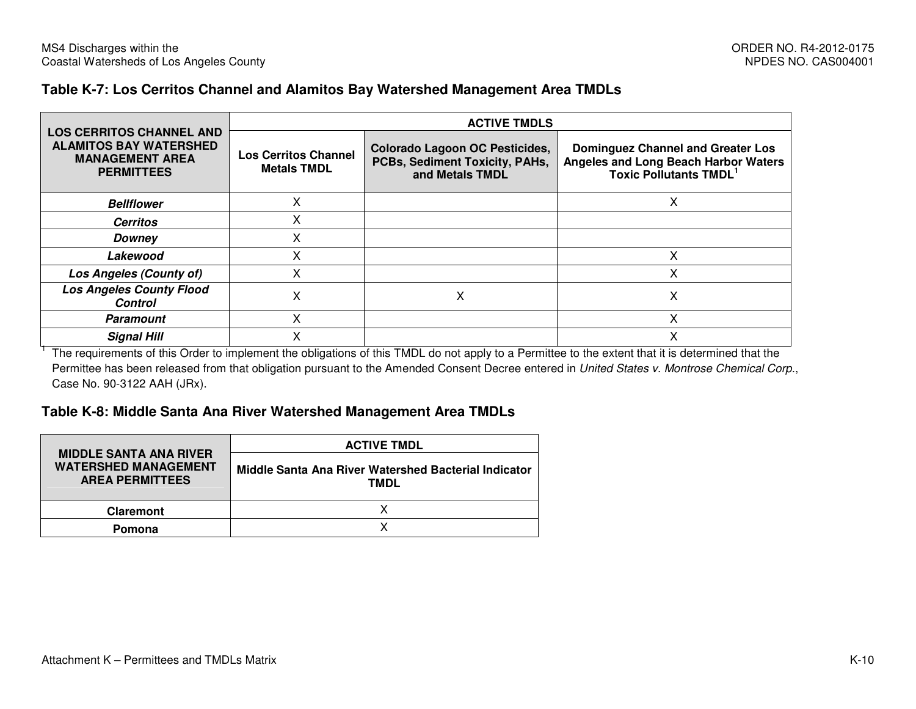#### **Table K-7: Los Cerritos Channel and Alamitos Bay Watershed Management Area TMDLs**

|                                                                                                                 | <b>ACTIVE TMDLS</b>                               |                                                                                            |                                                                                                                         |  |  |  |  |  |  |  |
|-----------------------------------------------------------------------------------------------------------------|---------------------------------------------------|--------------------------------------------------------------------------------------------|-------------------------------------------------------------------------------------------------------------------------|--|--|--|--|--|--|--|
| <b>LOS CERRITOS CHANNEL AND</b><br><b>ALAMITOS BAY WATERSHED</b><br><b>MANAGEMENT AREA</b><br><b>PERMITTEES</b> | <b>Los Cerritos Channel</b><br><b>Metals TMDL</b> | <b>Colorado Lagoon OC Pesticides,</b><br>PCBs, Sediment Toxicity, PAHs,<br>and Metals TMDL | <b>Dominguez Channel and Greater Los</b><br><b>Angeles and Long Beach Harbor Waters</b><br><b>Toxic Pollutants TMDL</b> |  |  |  |  |  |  |  |
| <b>Bellflower</b>                                                                                               |                                                   |                                                                                            |                                                                                                                         |  |  |  |  |  |  |  |
| <b>Cerritos</b>                                                                                                 | $\checkmark$<br>⋏                                 |                                                                                            |                                                                                                                         |  |  |  |  |  |  |  |
| Downey                                                                                                          | X                                                 |                                                                                            |                                                                                                                         |  |  |  |  |  |  |  |
| Lakewood                                                                                                        | x                                                 |                                                                                            | x                                                                                                                       |  |  |  |  |  |  |  |
| Los Angeles (County of)                                                                                         | x                                                 |                                                                                            | x                                                                                                                       |  |  |  |  |  |  |  |
| <b>Los Angeles County Flood</b><br><b>Control</b>                                                               | Χ                                                 | x                                                                                          | х                                                                                                                       |  |  |  |  |  |  |  |
| <b>Paramount</b>                                                                                                | $\checkmark$                                      |                                                                                            |                                                                                                                         |  |  |  |  |  |  |  |
| <b>Signal Hill</b>                                                                                              |                                                   |                                                                                            |                                                                                                                         |  |  |  |  |  |  |  |

<sup>1</sup> The requirements of this Order to implement the obligations of this TMDL do not apply to a Permittee to the extent that it is determined that the Permittee has been released from that obligation pursuant to the Amended Consent Decree entered in United States v. Montrose Chemical Corp., Case No. 90-3122 AAH (JRx).

#### **Table K-8: Middle Santa Ana River Watershed Management Area TMDLs**

|                                                                                        | <b>ACTIVE TMDL</b>                                           |
|----------------------------------------------------------------------------------------|--------------------------------------------------------------|
| <b>MIDDLE SANTA ANA RIVER</b><br><b>WATERSHED MANAGEMENT</b><br><b>AREA PERMITTEES</b> | Middle Santa Ana River Watershed Bacterial Indicator<br>TMDL |
| <b>Claremont</b>                                                                       |                                                              |
| Pomona                                                                                 |                                                              |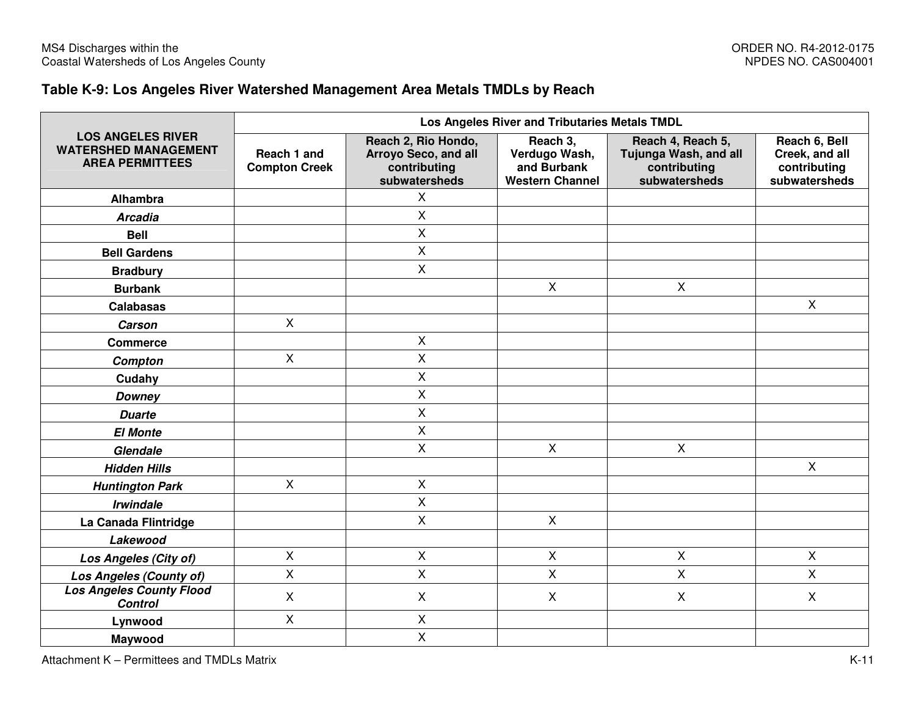### **Table K-9: Los Angeles River Watershed Management Area Metals TMDLs by Reach**

|                                                                                   |                                     |                                                                              | Los Angeles River and Tributaries Metals TMDL                      |                                                                             |                                                                  |
|-----------------------------------------------------------------------------------|-------------------------------------|------------------------------------------------------------------------------|--------------------------------------------------------------------|-----------------------------------------------------------------------------|------------------------------------------------------------------|
| <b>LOS ANGELES RIVER</b><br><b>WATERSHED MANAGEMENT</b><br><b>AREA PERMITTEES</b> | Reach 1 and<br><b>Compton Creek</b> | Reach 2, Rio Hondo,<br>Arroyo Seco, and all<br>contributing<br>subwatersheds | Reach 3,<br>Verdugo Wash,<br>and Burbank<br><b>Western Channel</b> | Reach 4, Reach 5,<br>Tujunga Wash, and all<br>contributing<br>subwatersheds | Reach 6, Bell<br>Creek, and all<br>contributing<br>subwatersheds |
| Alhambra                                                                          |                                     | X                                                                            |                                                                    |                                                                             |                                                                  |
| <b>Arcadia</b>                                                                    |                                     | X                                                                            |                                                                    |                                                                             |                                                                  |
| <b>Bell</b>                                                                       |                                     | X                                                                            |                                                                    |                                                                             |                                                                  |
| <b>Bell Gardens</b>                                                               |                                     | X                                                                            |                                                                    |                                                                             |                                                                  |
| <b>Bradbury</b>                                                                   |                                     | X                                                                            |                                                                    |                                                                             |                                                                  |
| <b>Burbank</b>                                                                    |                                     |                                                                              | X                                                                  | $\mathsf{X}$                                                                |                                                                  |
| <b>Calabasas</b>                                                                  |                                     |                                                                              |                                                                    |                                                                             | $\pmb{\times}$                                                   |
| Carson                                                                            | $\mathsf{X}$                        |                                                                              |                                                                    |                                                                             |                                                                  |
| <b>Commerce</b>                                                                   |                                     | X                                                                            |                                                                    |                                                                             |                                                                  |
| Compton                                                                           | $\pmb{\times}$                      | X                                                                            |                                                                    |                                                                             |                                                                  |
| Cudahy                                                                            |                                     | X                                                                            |                                                                    |                                                                             |                                                                  |
| <b>Downey</b>                                                                     |                                     | X                                                                            |                                                                    |                                                                             |                                                                  |
| <b>Duarte</b>                                                                     |                                     | X                                                                            |                                                                    |                                                                             |                                                                  |
| <b>El Monte</b>                                                                   |                                     | X                                                                            |                                                                    |                                                                             |                                                                  |
| Glendale                                                                          |                                     | X                                                                            | $\mathsf{X}$                                                       | $\mathsf{X}$                                                                |                                                                  |
| <b>Hidden Hills</b>                                                               |                                     |                                                                              |                                                                    |                                                                             | $\mathsf{X}$                                                     |
| <b>Huntington Park</b>                                                            | X                                   | X                                                                            |                                                                    |                                                                             |                                                                  |
| <b>Irwindale</b>                                                                  |                                     | X                                                                            |                                                                    |                                                                             |                                                                  |
| La Canada Flintridge                                                              |                                     | X                                                                            | $\mathsf{X}$                                                       |                                                                             |                                                                  |
| Lakewood                                                                          |                                     |                                                                              |                                                                    |                                                                             |                                                                  |
| Los Angeles (City of)                                                             | $\mathsf{X}$                        | $\mathsf X$                                                                  | $\pmb{\times}$                                                     | $\mathsf{X}$                                                                | $\pmb{\times}$                                                   |
| Los Angeles (County of)                                                           | $\overline{\mathsf{X}}$             | X                                                                            | X                                                                  | $\mathsf{x}$                                                                | $\overline{\mathsf{X}}$                                          |
| <b>Los Angeles County Flood</b><br><b>Control</b>                                 | X                                   | $\mathsf{X}$                                                                 | X                                                                  | X                                                                           | X                                                                |
| Lynwood                                                                           | X                                   | Χ                                                                            |                                                                    |                                                                             |                                                                  |
| Maywood                                                                           |                                     | $\boldsymbol{\mathsf{X}}$                                                    |                                                                    |                                                                             |                                                                  |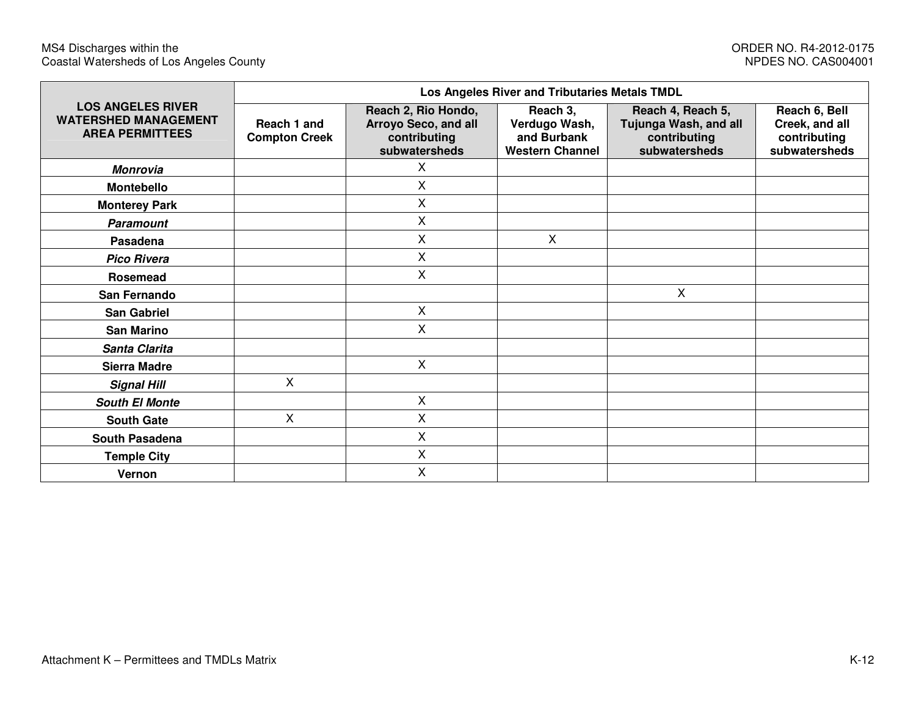|                                                                                   | Los Angeles River and Tributaries Metals TMDL |                                                                              |                                                                    |                                                                             |                                                                  |  |  |  |  |  |  |  |
|-----------------------------------------------------------------------------------|-----------------------------------------------|------------------------------------------------------------------------------|--------------------------------------------------------------------|-----------------------------------------------------------------------------|------------------------------------------------------------------|--|--|--|--|--|--|--|
| <b>LOS ANGELES RIVER</b><br><b>WATERSHED MANAGEMENT</b><br><b>AREA PERMITTEES</b> | Reach 1 and<br><b>Compton Creek</b>           | Reach 2, Rio Hondo,<br>Arroyo Seco, and all<br>contributing<br>subwatersheds | Reach 3,<br>Verdugo Wash,<br>and Burbank<br><b>Western Channel</b> | Reach 4, Reach 5,<br>Tujunga Wash, and all<br>contributing<br>subwatersheds | Reach 6, Bell<br>Creek, and all<br>contributing<br>subwatersheds |  |  |  |  |  |  |  |
| <b>Monrovia</b>                                                                   |                                               | X                                                                            |                                                                    |                                                                             |                                                                  |  |  |  |  |  |  |  |
| <b>Montebello</b>                                                                 |                                               | X                                                                            |                                                                    |                                                                             |                                                                  |  |  |  |  |  |  |  |
| <b>Monterey Park</b>                                                              |                                               | X                                                                            |                                                                    |                                                                             |                                                                  |  |  |  |  |  |  |  |
| <b>Paramount</b>                                                                  |                                               | X                                                                            |                                                                    |                                                                             |                                                                  |  |  |  |  |  |  |  |
| Pasadena                                                                          |                                               | X                                                                            | X                                                                  |                                                                             |                                                                  |  |  |  |  |  |  |  |
| <b>Pico Rivera</b>                                                                |                                               | X                                                                            |                                                                    |                                                                             |                                                                  |  |  |  |  |  |  |  |
| <b>Rosemead</b>                                                                   |                                               | X                                                                            |                                                                    |                                                                             |                                                                  |  |  |  |  |  |  |  |
| San Fernando                                                                      |                                               |                                                                              |                                                                    | X                                                                           |                                                                  |  |  |  |  |  |  |  |
| <b>San Gabriel</b>                                                                |                                               | $\mathsf{X}$                                                                 |                                                                    |                                                                             |                                                                  |  |  |  |  |  |  |  |
| <b>San Marino</b>                                                                 |                                               | X                                                                            |                                                                    |                                                                             |                                                                  |  |  |  |  |  |  |  |
| Santa Clarita                                                                     |                                               |                                                                              |                                                                    |                                                                             |                                                                  |  |  |  |  |  |  |  |
| <b>Sierra Madre</b>                                                               |                                               | X                                                                            |                                                                    |                                                                             |                                                                  |  |  |  |  |  |  |  |
| <b>Signal Hill</b>                                                                | Χ                                             |                                                                              |                                                                    |                                                                             |                                                                  |  |  |  |  |  |  |  |
| <b>South El Monte</b>                                                             |                                               | X                                                                            |                                                                    |                                                                             |                                                                  |  |  |  |  |  |  |  |
| <b>South Gate</b>                                                                 | Χ                                             | X                                                                            |                                                                    |                                                                             |                                                                  |  |  |  |  |  |  |  |
| South Pasadena                                                                    |                                               | X                                                                            |                                                                    |                                                                             |                                                                  |  |  |  |  |  |  |  |
| <b>Temple City</b>                                                                |                                               | X                                                                            |                                                                    |                                                                             |                                                                  |  |  |  |  |  |  |  |
| Vernon                                                                            |                                               | X                                                                            |                                                                    |                                                                             |                                                                  |  |  |  |  |  |  |  |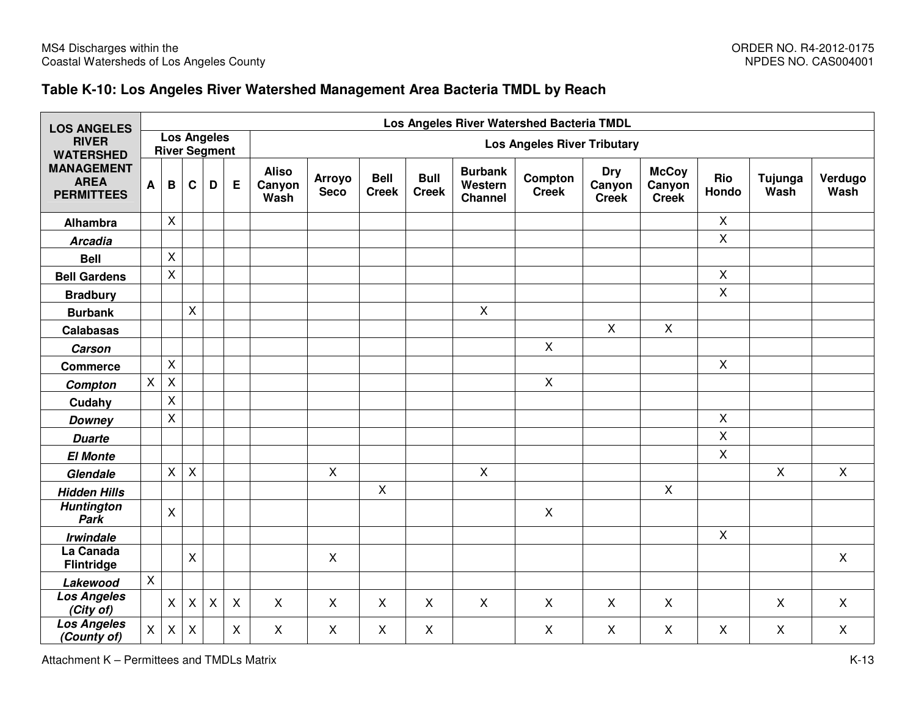### **Table K-10: Los Angeles River Watershed Management Area Bacteria TMDL by Reach**

| <b>LOS ANGELES</b>                                    |                |                |             |                                            |                           |                                | Los Angeles River Watershed Bacteria TMDL |                             |                             |                                             |                           |                                      |                                        |                |                 |                 |
|-------------------------------------------------------|----------------|----------------|-------------|--------------------------------------------|---------------------------|--------------------------------|-------------------------------------------|-----------------------------|-----------------------------|---------------------------------------------|---------------------------|--------------------------------------|----------------------------------------|----------------|-----------------|-----------------|
| <b>RIVER</b><br><b>WATERSHED</b>                      |                |                |             | <b>Los Angeles</b><br><b>River Segment</b> |                           |                                | <b>Los Angeles River Tributary</b>        |                             |                             |                                             |                           |                                      |                                        |                |                 |                 |
| <b>MANAGEMENT</b><br><b>AREA</b><br><b>PERMITTEES</b> | A              | B              | C           | D                                          | Е                         | <b>Aliso</b><br>Canyon<br>Wash | <b>Arroyo</b><br><b>Seco</b>              | <b>Bell</b><br><b>Creek</b> | <b>Bull</b><br><b>Creek</b> | <b>Burbank</b><br>Western<br><b>Channel</b> | Compton<br><b>Creek</b>   | <b>Dry</b><br>Canyon<br><b>Creek</b> | <b>McCoy</b><br>Canyon<br><b>Creek</b> | Rio<br>Hondo   | Tujunga<br>Wash | Verdugo<br>Wash |
| Alhambra                                              |                | $\mathsf{X}$   |             |                                            |                           |                                |                                           |                             |                             |                                             |                           |                                      |                                        | $\mathsf{X}$   |                 |                 |
| <b>Arcadia</b>                                        |                |                |             |                                            |                           |                                |                                           |                             |                             |                                             |                           |                                      |                                        | $\mathsf{X}$   |                 |                 |
| <b>Bell</b>                                           |                | $\sf X$        |             |                                            |                           |                                |                                           |                             |                             |                                             |                           |                                      |                                        |                |                 |                 |
| <b>Bell Gardens</b>                                   |                | $\mathsf{X}$   |             |                                            |                           |                                |                                           |                             |                             |                                             |                           |                                      |                                        | $\mathsf{X}$   |                 |                 |
| <b>Bradbury</b>                                       |                |                |             |                                            |                           |                                |                                           |                             |                             |                                             |                           |                                      |                                        | $\mathsf{X}$   |                 |                 |
| <b>Burbank</b>                                        |                |                | X           |                                            |                           |                                |                                           |                             |                             | $\mathsf{X}$                                |                           |                                      |                                        |                |                 |                 |
| <b>Calabasas</b>                                      |                |                |             |                                            |                           |                                |                                           |                             |                             |                                             |                           | $\mathsf{X}$                         | $\mathsf{X}$                           |                |                 |                 |
| <b>Carson</b>                                         |                |                |             |                                            |                           |                                |                                           |                             |                             |                                             | $\mathsf{X}$              |                                      |                                        |                |                 |                 |
| <b>Commerce</b>                                       |                | $\pmb{\times}$ |             |                                            |                           |                                |                                           |                             |                             |                                             |                           |                                      |                                        | $\mathsf{X}$   |                 |                 |
| Compton                                               | $\mathsf{X}^-$ | $\pmb{\times}$ |             |                                            |                           |                                |                                           |                             |                             |                                             | $\mathsf{X}$              |                                      |                                        |                |                 |                 |
| Cudahy                                                |                | $\pmb{\times}$ |             |                                            |                           |                                |                                           |                             |                             |                                             |                           |                                      |                                        |                |                 |                 |
| <b>Downey</b>                                         |                | $\pmb{\times}$ |             |                                            |                           |                                |                                           |                             |                             |                                             |                           |                                      |                                        | $\pmb{\times}$ |                 |                 |
| <b>Duarte</b>                                         |                |                |             |                                            |                           |                                |                                           |                             |                             |                                             |                           |                                      |                                        | $\mathsf{X}$   |                 |                 |
| <b>El Monte</b>                                       |                |                |             |                                            |                           |                                |                                           |                             |                             |                                             |                           |                                      |                                        | $\pmb{\times}$ |                 |                 |
| Glendale                                              |                | $\pmb{\times}$ | X           |                                            |                           |                                | $\mathsf{X}$                              |                             |                             | $\pmb{\times}$                              |                           |                                      |                                        |                | $\mathsf{X}$    | $\mathsf{X}$    |
| <b>Hidden Hills</b>                                   |                |                |             |                                            |                           |                                |                                           | $\boldsymbol{\mathsf{X}}$   |                             |                                             |                           |                                      | $\mathsf{X}$                           |                |                 |                 |
| <b>Huntington</b><br>Park                             |                | $\mathsf{X}$   |             |                                            |                           |                                |                                           |                             |                             |                                             | $\boldsymbol{\mathsf{X}}$ |                                      |                                        |                |                 |                 |
| <b>Irwindale</b>                                      |                |                |             |                                            |                           |                                |                                           |                             |                             |                                             |                           |                                      |                                        | $\mathsf{X}$   |                 |                 |
| La Canada<br><b>Flintridge</b>                        |                |                | X           |                                            |                           |                                | $\mathsf{X}$                              |                             |                             |                                             |                           |                                      |                                        |                |                 | $\mathsf{X}$    |
| Lakewood                                              | $\mathsf{X}$   |                |             |                                            |                           |                                |                                           |                             |                             |                                             |                           |                                      |                                        |                |                 |                 |
| <b>Los Angeles</b><br>(City of)                       |                | $\pmb{\times}$ | $\mathsf X$ | $\mathsf X$                                | $\boldsymbol{\mathsf{X}}$ | $\mathsf{X}$                   | $\mathsf{X}$                              | X                           | $\mathsf{X}$                | $\mathsf{X}$                                | $\boldsymbol{\mathsf{X}}$ | X                                    | $\mathsf{X}$                           |                | $\sf X$         | X               |
| <b>Los Angeles</b><br>(County of)                     | X              | X              | X           |                                            | $\boldsymbol{\mathsf{X}}$ | X                              | X                                         | X                           | X                           |                                             | $\boldsymbol{\mathsf{X}}$ | X                                    | X                                      | X              | X               | $\mathsf{X}$    |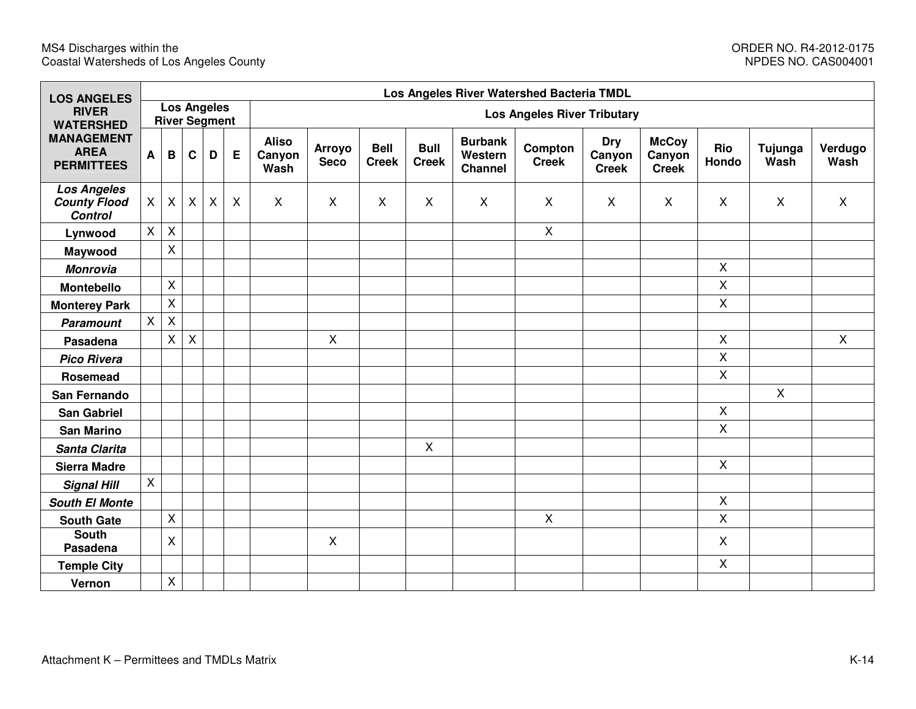| <b>LOS ANGELES</b>                                          |          |                |                           |                                            |              | Los Angeles River Watershed Bacteria TMDL |                                    |                             |                             |                                      |                         |                               |                                        |              |                 |                 |
|-------------------------------------------------------------|----------|----------------|---------------------------|--------------------------------------------|--------------|-------------------------------------------|------------------------------------|-----------------------------|-----------------------------|--------------------------------------|-------------------------|-------------------------------|----------------------------------------|--------------|-----------------|-----------------|
| <b>RIVER</b><br><b>WATERSHED</b>                            |          |                |                           | <b>Los Angeles</b><br><b>River Segment</b> |              |                                           | <b>Los Angeles River Tributary</b> |                             |                             |                                      |                         |                               |                                        |              |                 |                 |
| <b>MANAGEMENT</b><br><b>AREA</b><br><b>PERMITTEES</b>       | A        | B              | C                         | D                                          | E            | <b>Aliso</b><br>Canyon<br>Wash            | Arroyo<br><b>Seco</b>              | <b>Bell</b><br><b>Creek</b> | <b>Bull</b><br><b>Creek</b> | <b>Burbank</b><br>Western<br>Channel | Compton<br><b>Creek</b> | Dry<br>Canyon<br><b>Creek</b> | <b>McCoy</b><br>Canyon<br><b>Creek</b> | Rio<br>Hondo | Tujunga<br>Wash | Verdugo<br>Wash |
| <b>Los Angeles</b><br><b>County Flood</b><br><b>Control</b> | $\times$ | $\mathsf{X}$   | $\boldsymbol{\mathsf{X}}$ | X                                          | $\mathsf{X}$ | $\mathsf{X}$                              | X                                  | $\mathsf{X}$                | $\mathsf{X}$                | $\boldsymbol{\mathsf{X}}$            | X                       | X                             | X                                      | X            | X               | $\mathsf{X}$    |
| Lynwood                                                     | X        | $\pmb{\times}$ |                           |                                            |              |                                           |                                    |                             |                             |                                      | X                       |                               |                                        |              |                 |                 |
| Maywood                                                     |          | X              |                           |                                            |              |                                           |                                    |                             |                             |                                      |                         |                               |                                        |              |                 |                 |
| <b>Monrovia</b>                                             |          |                |                           |                                            |              |                                           |                                    |                             |                             |                                      |                         |                               |                                        | $\mathsf{X}$ |                 |                 |
| <b>Montebello</b>                                           |          | X              |                           |                                            |              |                                           |                                    |                             |                             |                                      |                         |                               |                                        | $\mathsf{X}$ |                 |                 |
| <b>Monterey Park</b>                                        |          | X              |                           |                                            |              |                                           |                                    |                             |                             |                                      |                         |                               |                                        | $\mathsf{X}$ |                 |                 |
| <b>Paramount</b>                                            | $\times$ | $\pmb{\times}$ |                           |                                            |              |                                           |                                    |                             |                             |                                      |                         |                               |                                        |              |                 |                 |
| Pasadena                                                    |          | X              | $\mathsf{X}$              |                                            |              |                                           | X                                  |                             |                             |                                      |                         |                               |                                        | $\mathsf{X}$ |                 | $\mathsf{X}$    |
| <b>Pico Rivera</b>                                          |          |                |                           |                                            |              |                                           |                                    |                             |                             |                                      |                         |                               |                                        | $\mathsf{X}$ |                 |                 |
| Rosemead                                                    |          |                |                           |                                            |              |                                           |                                    |                             |                             |                                      |                         |                               |                                        | $\mathsf{X}$ |                 |                 |
| San Fernando                                                |          |                |                           |                                            |              |                                           |                                    |                             |                             |                                      |                         |                               |                                        |              | X               |                 |
| <b>San Gabriel</b>                                          |          |                |                           |                                            |              |                                           |                                    |                             |                             |                                      |                         |                               |                                        | $\mathsf{X}$ |                 |                 |
| <b>San Marino</b>                                           |          |                |                           |                                            |              |                                           |                                    |                             |                             |                                      |                         |                               |                                        | $\mathsf{X}$ |                 |                 |
| Santa Clarita                                               |          |                |                           |                                            |              |                                           |                                    |                             | $\mathsf{X}$                |                                      |                         |                               |                                        |              |                 |                 |
| <b>Sierra Madre</b>                                         |          |                |                           |                                            |              |                                           |                                    |                             |                             |                                      |                         |                               |                                        | $\mathsf{X}$ |                 |                 |
| <b>Signal Hill</b>                                          | X        |                |                           |                                            |              |                                           |                                    |                             |                             |                                      |                         |                               |                                        |              |                 |                 |
| <b>South El Monte</b>                                       |          |                |                           |                                            |              |                                           |                                    |                             |                             |                                      |                         |                               |                                        | $\mathsf{X}$ |                 |                 |
| <b>South Gate</b>                                           |          | $\mathsf{X}$   |                           |                                            |              |                                           |                                    |                             |                             |                                      | X                       |                               |                                        | X            |                 |                 |
| <b>South</b><br>Pasadena                                    |          | $\mathsf{X}$   |                           |                                            |              |                                           | X                                  |                             |                             |                                      |                         |                               |                                        | $\mathsf{X}$ |                 |                 |
| <b>Temple City</b>                                          |          |                |                           |                                            |              |                                           |                                    |                             |                             |                                      |                         |                               |                                        | $\mathsf{X}$ |                 |                 |
| Vernon                                                      |          | $\mathsf X$    |                           |                                            |              |                                           |                                    |                             |                             |                                      |                         |                               |                                        |              |                 |                 |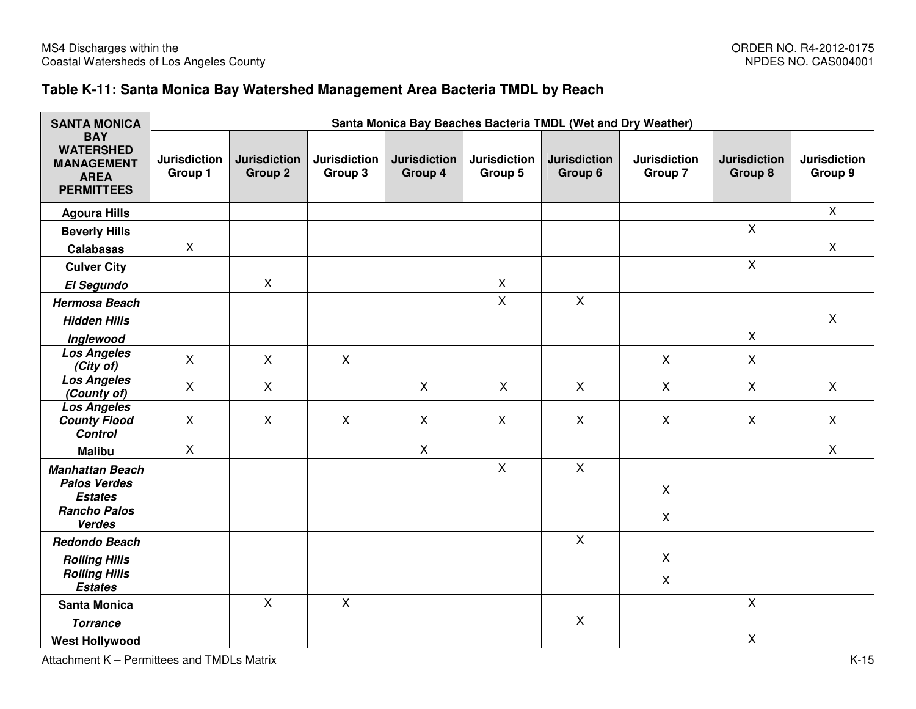### **Table K-11: Santa Monica Bay Watershed Management Area Bacteria TMDL by Reach**

| <b>SANTA MONICA</b>                                                                     |                                | Santa Monica Bay Beaches Bacteria TMDL (Wet and Dry Weather) |                                |                                |                                |                                |                                |                                |                                |  |  |  |  |
|-----------------------------------------------------------------------------------------|--------------------------------|--------------------------------------------------------------|--------------------------------|--------------------------------|--------------------------------|--------------------------------|--------------------------------|--------------------------------|--------------------------------|--|--|--|--|
| <b>BAY</b><br><b>WATERSHED</b><br><b>MANAGEMENT</b><br><b>AREA</b><br><b>PERMITTEES</b> | <b>Jurisdiction</b><br>Group 1 | <b>Jurisdiction</b><br><b>Group 2</b>                        | <b>Jurisdiction</b><br>Group 3 | <b>Jurisdiction</b><br>Group 4 | <b>Jurisdiction</b><br>Group 5 | <b>Jurisdiction</b><br>Group 6 | <b>Jurisdiction</b><br>Group 7 | <b>Jurisdiction</b><br>Group 8 | <b>Jurisdiction</b><br>Group 9 |  |  |  |  |
| <b>Agoura Hills</b>                                                                     |                                |                                                              |                                |                                |                                |                                |                                |                                | $\mathsf{X}$                   |  |  |  |  |
| <b>Beverly Hills</b>                                                                    |                                |                                                              |                                |                                |                                |                                |                                | $\mathsf{X}$                   |                                |  |  |  |  |
| <b>Calabasas</b>                                                                        | $\mathsf{X}$                   |                                                              |                                |                                |                                |                                |                                |                                | $\mathsf{X}$                   |  |  |  |  |
| <b>Culver City</b>                                                                      |                                |                                                              |                                |                                |                                |                                |                                | $\mathsf{X}$                   |                                |  |  |  |  |
| El Segundo                                                                              |                                | $\mathsf{X}$                                                 |                                |                                | $\mathsf{X}$                   |                                |                                |                                |                                |  |  |  |  |
| <b>Hermosa Beach</b>                                                                    |                                |                                                              |                                |                                | $\mathsf X$                    | $\mathsf X$                    |                                |                                |                                |  |  |  |  |
| <b>Hidden Hills</b>                                                                     |                                |                                                              |                                |                                |                                |                                |                                |                                | $\mathsf{X}$                   |  |  |  |  |
| Inglewood                                                                               |                                |                                                              |                                |                                |                                |                                |                                | $\mathsf{X}$                   |                                |  |  |  |  |
| <b>Los Angeles</b><br>(City of)                                                         | $\mathsf{X}$                   | $\mathsf{X}$                                                 | $\mathsf{X}$                   |                                |                                |                                | $\mathsf{X}$                   | $\mathsf{X}$                   |                                |  |  |  |  |
| <b>Los Angeles</b><br>(County of)                                                       | $\mathsf{X}$                   | $\mathsf{X}$                                                 |                                | $\mathsf{X}$                   | $\mathsf{X}$                   | $\mathsf{X}$                   | $\mathsf{X}$                   | $\mathsf{X}$                   | $\mathsf{X}$                   |  |  |  |  |
| <b>Los Angeles</b><br><b>County Flood</b><br><b>Control</b>                             | $\mathsf{X}$                   | X                                                            | $\mathsf{X}$                   | $\mathsf{X}$                   | $\boldsymbol{\mathsf{X}}$      | $\mathsf{X}$                   | X                              | $\sf X$                        | X                              |  |  |  |  |
| <b>Malibu</b>                                                                           | $\mathsf{X}$                   |                                                              |                                | $\mathsf{X}$                   |                                |                                |                                |                                | $\mathsf{X}$                   |  |  |  |  |
| <b>Manhattan Beach</b>                                                                  |                                |                                                              |                                |                                | $\pmb{\times}$                 | $\mathsf{X}$                   |                                |                                |                                |  |  |  |  |
| <b>Palos Verdes</b><br><b>Estates</b>                                                   |                                |                                                              |                                |                                |                                |                                | $\mathsf{X}$                   |                                |                                |  |  |  |  |
| <b>Rancho Palos</b><br><b>Verdes</b>                                                    |                                |                                                              |                                |                                |                                |                                | $\mathsf{X}$                   |                                |                                |  |  |  |  |
| <b>Redondo Beach</b>                                                                    |                                |                                                              |                                |                                |                                | $\pmb{\times}$                 |                                |                                |                                |  |  |  |  |
| <b>Rolling Hills</b>                                                                    |                                |                                                              |                                |                                |                                |                                | $\mathsf{X}$                   |                                |                                |  |  |  |  |
| <b>Rolling Hills</b><br><b>Estates</b>                                                  |                                |                                                              |                                |                                |                                |                                | $\mathsf{X}$                   |                                |                                |  |  |  |  |
| <b>Santa Monica</b>                                                                     |                                | $\mathsf{X}$                                                 | $\mathsf{X}$                   |                                |                                |                                |                                | $\mathsf{X}$                   |                                |  |  |  |  |
| <b>Torrance</b>                                                                         |                                |                                                              |                                |                                |                                | $\mathsf{X}$                   |                                |                                |                                |  |  |  |  |
| <b>West Hollywood</b>                                                                   |                                |                                                              |                                |                                |                                |                                |                                | $\mathsf{X}$                   |                                |  |  |  |  |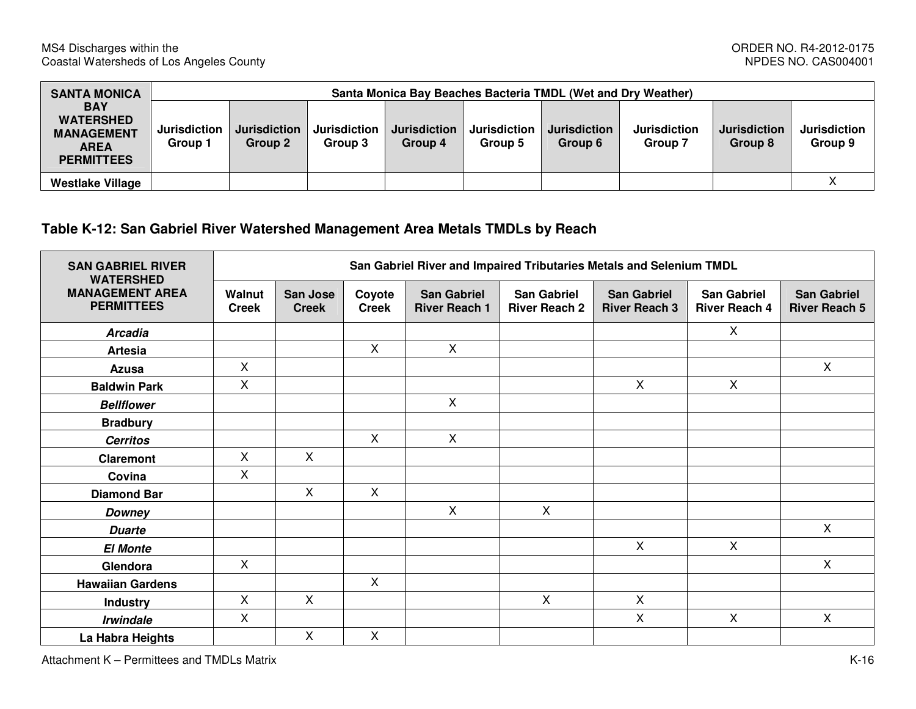| <b>SANTA MONICA</b>                                                                     |                                | Santa Monica Bay Beaches Bacteria TMDL (Wet and Dry Weather) |                                |                                |                                |                                |                                |                                |                                |  |  |  |
|-----------------------------------------------------------------------------------------|--------------------------------|--------------------------------------------------------------|--------------------------------|--------------------------------|--------------------------------|--------------------------------|--------------------------------|--------------------------------|--------------------------------|--|--|--|
| <b>BAY</b><br><b>WATERSHED</b><br><b>MANAGEMENT</b><br><b>AREA</b><br><b>PERMITTEES</b> | <b>Jurisdiction</b><br>Group 1 | <b>Jurisdiction</b><br>Group 2                               | <b>Jurisdiction</b><br>Group 3 | <b>Jurisdiction</b><br>Group 4 | <b>Jurisdiction</b><br>Group 5 | <b>Jurisdiction</b><br>Group 6 | <b>Jurisdiction</b><br>Group 7 | <b>Jurisdiction</b><br>Group 8 | <b>Jurisdiction</b><br>Group 9 |  |  |  |
| <b>Westlake Village</b>                                                                 |                                |                                                              |                                |                                |                                |                                |                                |                                |                                |  |  |  |

# **Table K-12: San Gabriel River Watershed Management Area Metals TMDLs by Reach**

| <b>SAN GABRIEL RIVER</b><br><b>WATERSHED</b> | San Gabriel River and Impaired Tributaries Metals and Selenium TMDL |                                 |                           |                                            |                                            |                                            |                                            |                                            |  |  |  |
|----------------------------------------------|---------------------------------------------------------------------|---------------------------------|---------------------------|--------------------------------------------|--------------------------------------------|--------------------------------------------|--------------------------------------------|--------------------------------------------|--|--|--|
| <b>MANAGEMENT AREA</b><br><b>PERMITTEES</b>  | Walnut<br><b>Creek</b>                                              | <b>San Jose</b><br><b>Creek</b> | Coyote<br><b>Creek</b>    | <b>San Gabriel</b><br><b>River Reach 1</b> | <b>San Gabriel</b><br><b>River Reach 2</b> | <b>San Gabriel</b><br><b>River Reach 3</b> | <b>San Gabriel</b><br><b>River Reach 4</b> | <b>San Gabriel</b><br><b>River Reach 5</b> |  |  |  |
| <b>Arcadia</b>                               |                                                                     |                                 |                           |                                            |                                            |                                            | X                                          |                                            |  |  |  |
| <b>Artesia</b>                               |                                                                     |                                 | $\mathsf{X}$              | $\mathsf{X}$                               |                                            |                                            |                                            |                                            |  |  |  |
| Azusa                                        | X                                                                   |                                 |                           |                                            |                                            |                                            |                                            | X                                          |  |  |  |
| <b>Baldwin Park</b>                          | $\mathsf{X}$                                                        |                                 |                           |                                            |                                            | $\mathsf{X}$                               | $\mathsf{X}$                               |                                            |  |  |  |
| <b>Bellflower</b>                            |                                                                     |                                 |                           | $\mathsf{X}$                               |                                            |                                            |                                            |                                            |  |  |  |
| <b>Bradbury</b>                              |                                                                     |                                 |                           |                                            |                                            |                                            |                                            |                                            |  |  |  |
| <b>Cerritos</b>                              |                                                                     |                                 | $\mathsf{X}$              | $\mathsf{X}$                               |                                            |                                            |                                            |                                            |  |  |  |
| <b>Claremont</b>                             | X                                                                   | $\mathsf{X}$                    |                           |                                            |                                            |                                            |                                            |                                            |  |  |  |
| Covina                                       | X                                                                   |                                 |                           |                                            |                                            |                                            |                                            |                                            |  |  |  |
| <b>Diamond Bar</b>                           |                                                                     | $\mathsf{X}$                    | $\boldsymbol{\mathsf{X}}$ |                                            |                                            |                                            |                                            |                                            |  |  |  |
| <b>Downey</b>                                |                                                                     |                                 |                           | $\sf X$                                    | $\mathsf{X}$                               |                                            |                                            |                                            |  |  |  |
| <b>Duarte</b>                                |                                                                     |                                 |                           |                                            |                                            |                                            |                                            | $\pmb{\times}$                             |  |  |  |
| <b>El Monte</b>                              |                                                                     |                                 |                           |                                            |                                            | $\mathsf{X}$                               | $\mathsf{X}$                               |                                            |  |  |  |
| Glendora                                     | X                                                                   |                                 |                           |                                            |                                            |                                            |                                            | X                                          |  |  |  |
| <b>Hawaiian Gardens</b>                      |                                                                     |                                 | X                         |                                            |                                            |                                            |                                            |                                            |  |  |  |
| <b>Industry</b>                              | X                                                                   | $\mathsf{X}$                    |                           |                                            | X                                          | $\sf X$                                    |                                            |                                            |  |  |  |
| <b>Irwindale</b>                             | $\mathsf{X}$                                                        |                                 |                           |                                            |                                            | X                                          | $\mathsf{X}$                               | $\pmb{\times}$                             |  |  |  |
| La Habra Heights                             |                                                                     | X                               | X                         |                                            |                                            |                                            |                                            |                                            |  |  |  |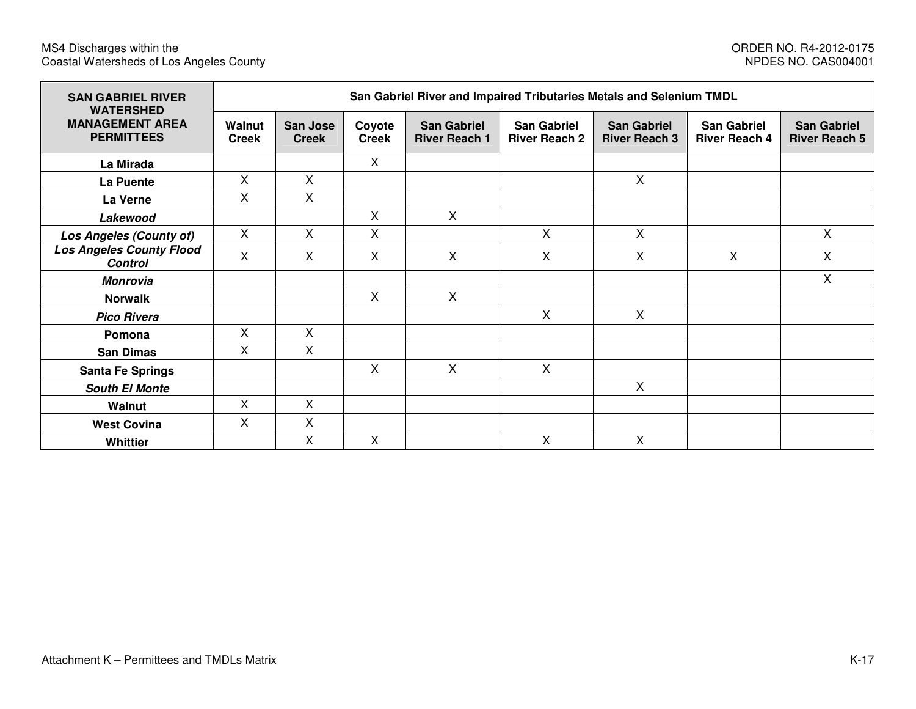| <b>SAN GABRIEL RIVER</b><br><b>WATERSHED</b>      | San Gabriel River and Impaired Tributaries Metals and Selenium TMDL |                          |                           |                                            |                                            |                                            |                                            |                                            |  |  |  |  |
|---------------------------------------------------|---------------------------------------------------------------------|--------------------------|---------------------------|--------------------------------------------|--------------------------------------------|--------------------------------------------|--------------------------------------------|--------------------------------------------|--|--|--|--|
| <b>MANAGEMENT AREA</b><br><b>PERMITTEES</b>       | Walnut<br><b>Creek</b>                                              | San Jose<br><b>Creek</b> | Coyote<br><b>Creek</b>    | <b>San Gabriel</b><br><b>River Reach 1</b> | <b>San Gabriel</b><br><b>River Reach 2</b> | <b>San Gabriel</b><br><b>River Reach 3</b> | <b>San Gabriel</b><br><b>River Reach 4</b> | <b>San Gabriel</b><br><b>River Reach 5</b> |  |  |  |  |
| La Mirada                                         |                                                                     |                          | X                         |                                            |                                            |                                            |                                            |                                            |  |  |  |  |
| La Puente                                         | X.                                                                  | $\mathsf{X}$             |                           |                                            |                                            | $\mathsf{X}$                               |                                            |                                            |  |  |  |  |
| La Verne                                          | X                                                                   | X                        |                           |                                            |                                            |                                            |                                            |                                            |  |  |  |  |
| Lakewood                                          |                                                                     |                          | X                         | $\mathsf{X}$                               |                                            |                                            |                                            |                                            |  |  |  |  |
| Los Angeles (County of)                           | X.                                                                  | $\mathsf{X}$             | $\mathsf{X}$              |                                            | X                                          | X                                          |                                            | X                                          |  |  |  |  |
| <b>Los Angeles County Flood</b><br><b>Control</b> | X                                                                   | $\mathsf{X}$             | $\boldsymbol{\mathsf{X}}$ | $\mathsf{X}$                               | X                                          | X                                          | X                                          | X                                          |  |  |  |  |
| <b>Monrovia</b>                                   |                                                                     |                          |                           |                                            |                                            |                                            |                                            | X                                          |  |  |  |  |
| <b>Norwalk</b>                                    |                                                                     |                          | $\boldsymbol{\mathsf{X}}$ | $\mathsf{X}$                               |                                            |                                            |                                            |                                            |  |  |  |  |
| <b>Pico Rivera</b>                                |                                                                     |                          |                           |                                            | X                                          | $\mathsf{X}$                               |                                            |                                            |  |  |  |  |
| Pomona                                            | X.                                                                  | $\mathsf{X}$             |                           |                                            |                                            |                                            |                                            |                                            |  |  |  |  |
| <b>San Dimas</b>                                  | X                                                                   | $\mathsf{X}$             |                           |                                            |                                            |                                            |                                            |                                            |  |  |  |  |
| <b>Santa Fe Springs</b>                           |                                                                     |                          | $\mathsf{X}$              | $\mathsf{X}$                               | $\mathsf{X}$                               |                                            |                                            |                                            |  |  |  |  |
| <b>South El Monte</b>                             |                                                                     |                          |                           |                                            |                                            | X                                          |                                            |                                            |  |  |  |  |
| Walnut                                            | X                                                                   | X                        |                           |                                            |                                            |                                            |                                            |                                            |  |  |  |  |
| <b>West Covina</b>                                | X                                                                   | X                        |                           |                                            |                                            |                                            |                                            |                                            |  |  |  |  |
| <b>Whittier</b>                                   |                                                                     | $\mathsf{X}$             | $\mathsf{X}$              |                                            | X                                          | X                                          |                                            |                                            |  |  |  |  |